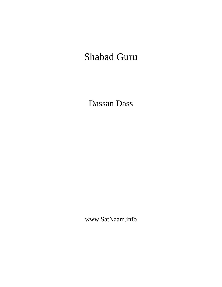# Shabad Guru

Dassan Dass

www.SatNaam.info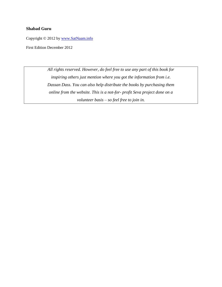## **Shabad Guru**

Copyright © 2012 by [www.SatNaam.info](http://www.satnaam.info/)

First Edition December 2012

*All rights reserved. However, do feel free to use any part of this book for inspiring others just mention where you got the information from i.e. Dassan Dass. You can also help distribute the books by purchasing them online from the website. This is a not-for- profit Seva project done on a volunteer basis – so feel free to join in.*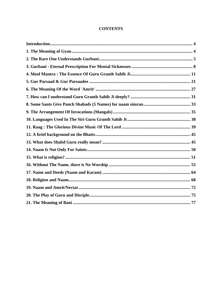# **CONTENTS**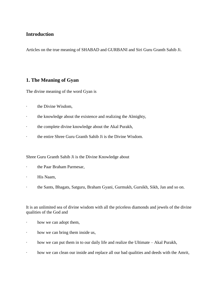# <span id="page-3-0"></span>**Introduction**

Articles on the true meaning of SHABAD and GURBANI and Siri Guru Granth Sahib Ji.

# <span id="page-3-1"></span>**1. The Meaning of Gyan**

The divine meaning of the word Gyan is

- · the Divine Wisdom,
- · the knowledge about the existence and realizing the Almighty,
- · the complete divine knowledge about the Akal Purakh,
- · the entire Shree Guru Granth Sahib Ji is the Divine Wisdom.

## Shree Guru Granth Sahib Ji is the Divine Knowledge about

- · the Paar Braham Parmesar,
- · His Naam,
- · the Sants, Bhagats, Satguru, Braham Gyani, Gurmukh, Gursikh, Sikh, Jan and so on.

It is an unlimited sea of divine wisdom with all the priceless diamonds and jewels of the divine qualities of the God and

- how we can adopt them,
- · how we can bring them inside us,
- · how we can put them in to our daily life and realize the Ultimate Akal Purakh,
- · how we can clean our inside and replace all our bad qualities and deeds with the Amrit,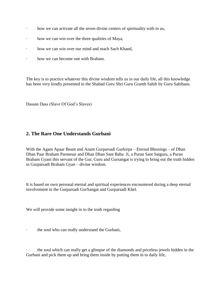- · how we can activate all the seven divine centers of spirituality with in us,
- · how we can win over the three qualities of Maya,
- · how we can win over our mind and reach Sach Khand,
- · how we can become one with Braham.

The key is to practice whatever this divine wisdom tells us in our daily life, all this knowledge has been very kindly presented in the Shabad Guru Shri Guru Granth Sahib by Guru Sahibans.

Dassan Dass (Slave Of God's Slaves)

# <span id="page-4-0"></span>**2. The Rare One Understands Gurbani**

With the Agam Apaar Beant and Anant Gurparsadi Gurkirpa – Eternal Blessings – of Dhan Dhan Paar Braham Parmesar and Dhan Dhan Sant Baba Ji, a Puran Sant Satguru, a Puran Braham Gyani this servant of the Gur, Guru and Gursangat is trying to bring out the truth hidden in Gurparsadi Braham Gyan – divine wisdom.

It is based on own personal eternal and spiritual experiences encountered during a deep eternal involvement in the Gurparsadi GurSangat and Gurparsadi Khel.

We will provide some insight in to the truth regarding

the soul who can really understand the Gurbani,

· the soul which can really get a glimpse of the diamonds and priceless jewels hidden in the Gurbani and pick them up and bring them inside by putting them in to daily life,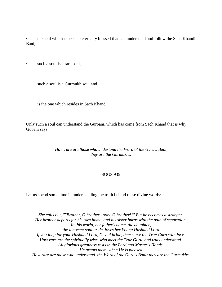· the soul who has been so eternally blessed that can understand and follow the Sach Khandi Bani,

· such a soul is a rare soul,

such a soul is a Gurmukh soul and

· is the one which resides in Sach Khand.

Only such a soul can understand the Gurbani, which has come from Sach Khand that is why Gubani says:

## *How rare are those who undertand the Word of the Guru's Bani; they are the Gurmukhs.*

#### SGGS 935

Let us spend some time in understanding the truth behind these divine words:

*She calls out, ""Brother, O brother - stay, O brother!"" But he becomes a stranger. Her brother departs for his own home, and his sister burns with the pain of separation. In this world, her father's home, the daughter, the innocent soul bride, loves her Young Husband Lord. If you long for your Husband Lord, O soul bride, then serve the True Guru with love. How rare are the spiritually wise, who meet the True Guru, and truly understand. All glorious greatness rests in the Lord and Master's Hands. He grants them, when He is pleased. How rare are those who understand the Word of the Guru's Bani; they are the Gurmukhs.*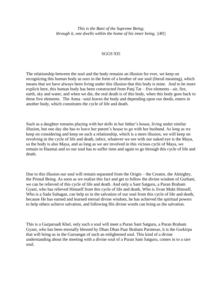*This is the Bani of the Supreme Being; through it, one dwells within the home of his inner being. ||40||*

#### SGGS 935

The relationship between the soul and the body remains an illusion for ever, we keep on recognizing this human body as ours in the form of a brother of our soul (literal meaning), which means that we have always been living under this illusion that this body is mine. And to be more explicit here, this human body has been constructed from Panj Tat – five elements - air, fire, earth, sky and water, and when we die, the real death is of this body, when this body goes back to these five elements. The Atma –soul leaves the body and depending upon our deeds, enters in another body, which constitutes the cycle of life and death.

Such as a daughter remains playing with her dolls in her father's house, living under similar illusion, but one day she has to leave her parent's house to go with her husband. As long as we keep on considering and keep on such a relationship, which is a mere illusion, we will keep on revolving in the cycle of life and death, infect, whatever we see with our naked eye is the Maya, so the body is also Maya, and as long as we are involved in this vicious cycle of Maya, we remain in Haumai and so our soul has to suffer time and again to go through this cycle of life and death.

Due to this illusion our soul will remain separated from the Origin – the Creator, the Almighty, the Primal Being. As soon as we realize this fact and get to follow the divine wisdom of Gurbani, we can be relieved of this cycle of life and death. And only a Sant Satguru, a Puran Braham Gyani, who has relieved Himself from this cycle of life and death, Who is Jivan Mukt Himself, Who is a Sada Suhagan, can help us in the salvation of our soul from this cycle of life and death, because He has earned and learned eternal divine wisdom, he has achieved the spiritual powers to help others achieve salvation, and following His divine words can bring us the salvation.

This is a Gurparsadi Khel, only such a soul will meet a Puran Sant Satguru, a Puran Braham Gyani, who has been eternally blessed by Dhan Dhan Paar Braham Parmesar, it is the Gurkirpa that will bring us in the Gursangat of such an enlightened soul. This kind of a divine understanding about the meeting with a divine soul of a Puran Sant Satguru, comes in to a rare soul.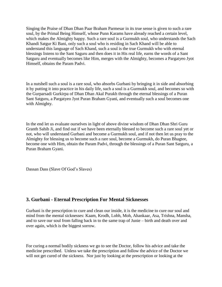Singing the Praise of Dhan Dhan Paar Braham Parmesar in its true sense is given to such a rare soul, by the Primal Being Himself, whose Punn Karams have already reached a certain level, which makes the Almighty happy. Such a rare soul is a Gurmukh soul, who understands the Sach Khandi Satgur Ki Bani, only such a soul who is residing in Sach Khand will be able to understand this language of Sach Khand, such a soul is the true Gurmukh who with eternal blessings listens to the Sant Saguru and then does it in His real life, earns the words of a Sant Satguru and eventually becomes like Him, merges with the Almighty, becomes a Pargatyeo Jyot Himself, obtains the Param Padvi.

In a nutshell such a soul is a rare soul, who absorbs Gurbani by bringing it in side and absorbing it by putting it into practice in his daily life, such a soul is a Gurmukh soul, and becomes so with the Gurparsadi Gurkirpa of Dhan Dhan Akal Purakh through the eternal blessings of a Puran Sant Satguru, a Pargatyeo Jyot Puran Braham Gyani, and eventually such a soul becomes one with Almighty.

In the end let us evaluate ourselves in light of above divine wisdom of Dhan Dhan Shri Guru Granth Sahib Ji, and find out if we have been eternally blessed to become such a rare soul yet or not, who will understand Gurbani and become a Gurmukh soul, and if not then let us pray to the Almighty for blessing us to become such a rare soul, become a Gurmukh, do Puran Bhagtee, become one with Him, obtain the Param Padvi, through the blessings of a Puran Sant Satguru, a Puran Braham Gyani.

Dassan Dass (Slave Of God's Slaves)

# <span id="page-7-0"></span>**3. Gurbani - Eternal Prescription For Mental Sicknesses**

Gurbani is the prescription to cure and clean our inside, it is the medicine to cure our soul and mind from the mental sicknesses: Kaam, Krodh, Lobh, Moh, Ahankaar, Asa, Trishna, Mansha, and to save our soul from falling back in to the same trap of Junie – birth and death over and over again, which is the biggest sorrow.

For curing a normal bodily sickness we go to see the Doctor, follow his advice and take the medicine prescribed. Unless we take the prescription and follow the advice of the Doctor we will not get cured of the sickness. Nor just by looking at the prescription or looking at the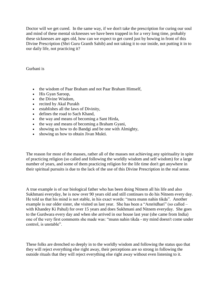Doctor will we get cured. In the same way, if we don't take the prescription for curing our soul and mind of these mental sicknesses we have been trapped in for a very long time, probably these sicknesses are ages old, how can we expect to get cured just by bowing in front of this Divine Prescription (Shri Guru Granth Sahib) and not taking it to our inside, not putting it in to our daily life, not practicing it?

Gurbani is

- the wisdom of Paar Braham and not Paar Braham Himself,
- His Gyan Saroop,
- the Divine Wisdom.
- recited by Akal Purakh
- establishes all the laws of Divinity,
- defines the road to Sach Khand,
- the way and means of becoming a Sant Hirda,
- the way and means of becoming a Braham Gyani,
- showing us how to do Bandgi and be one with Almighty,
- showing us how to obtain Jivan Mukti.

The reason for most of the masses, rather all of the masses not achieving any spirituality in spite of practicing religion (so called and following the worldly wisdom and self wisdom) for a large number of years, and some of them practicing religion for the life time don't get anywhere in their spiritual pursuits is due to the lack of the use of this Divine Prescription in the real sense.

A true example is of our biological father who has been doing Nitnem all his life and also Sukhmani everyday, he is now over 90 years old and still continues to do his Nitnem every day. He told us that his mind is not stable, in his exact words: "mera munn nahin tikda". Another example is our older sister, she visited us last year. She has been a "Amritdhari" (so called – with Khandey Ki Pahul) for over 15 years and does Sukhmani and Nitnem everyday. She goes to the Gurdwara every day and when she arrived in our house last year (she came from India) one of the very first comments she made was: "munn nahin tikda - my mind doesn't come under control, is unstable".

These folks are drenched so deeply in to the worldly wisdom and following the status quo that they will reject everything else right away, their perceptions are so strong in following the outside rituals that they will reject everything else right away without even listening to it.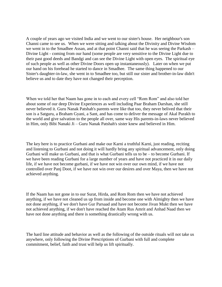A couple of years ago we visited India and we went to our sister's house. Her neighbour's son Channi came to see us. When we were sitting and talking about the Divinity and Divine Wisdom we went in to the Smadhee Assan, and at that point Channi said that he was seeing the Parkash – Divine Light - coming from our hand (some people are very sensitive to the Divine Light due to their past good deeds and Bandgi and can see the Divine Light with open eyes. The spiritual eye of such people as well as other Divine Doors open up instantaneously). Later on when we put our hand on his forehead he started to dance in Smadhee. The same thing happened to our Sister's daughter-in-law, she went in to Smadhee too, but still our sister and brother-in-law didn't believe us and to date they have not changed their perception.

When we told her that Naam has gone in to each and every cell "Rom Rom" and also told her about some of our deep Divine Experiences as well including Paar Braham Darshan, she still never believed it. Guru Nanak Patshah's parents were like that too, they never belived that their son is a Satguru, a Braham Gyani, a Sant, and has come to deliver the message of Akal Purakh to the world and give salvation to the people all over, same way His parents-in-laws never believed in Him, only Bibi Nanaki Ji – Guru Nanak Patshah's sister knew and believed in Him.

The key here is to practice Gurbani and make our Karni a truthful Karni, just reading, reciting and listening to Gurbani and not doing it will hardly bring any spiritual advancement, only doing Gurbani will make us Gurbani, and that is what Gurbani tells us to be – to become Gurbani. If we have been reading Gurbani for a large number of years and have not practiced it in our daily life, if we have not become gurbani, if we have not win over our own mind, if we have not controlled over Panj Doot, if we have not win over our desires and over Maya, then we have not achieved anything.

If the Naam has not gone in to our Surat, Hirda, and Rom Rom then we have not achieved anything, if we have not cleaned us up from inside and become one with Almighty then we have not done anything, if we don't have Gur Parsaad and have not become Jivan Mukt then we have not achieved anything, if we don't have reached the Atam Rus Amrit and Anhad Naad then we have not done anything and there is something drastically wrong with us.

The hard line attitude and behavior as well as the following of the outside rituals will not take us anywhere, only following the Divine Prescriptions of Gurbani with full and complete commitment, belief, faith and trust will help us lift spiritually.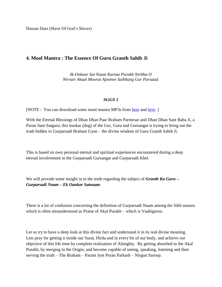Dassan Dass (Slave Of God's Slaves)

# <span id="page-10-0"></span>**4. Mool Mantra : The Essence Of Guru Granth Sahib Ji**

*Ik-Onkaar Sat Naam Kartaa Purakh Nirbha-O Nirvair Akaal Moorat Ajoonee Saibhang Gur Parsaad.*

## **SGGS 1**

[NOTE : You can download some mool mantra MP3s from [here](http://www.box.net/shared/89g3qdrby6) and [here.](http://www.box.net/shared/vjlmmrnnb2)]

With the Eternal Blessings of Dhan Dhan Paar Braham Parmesar and Dhan Dhan Sant Baba Ji, a Puran Sant Satguru, this kookar (dog) of the Gur, Guru and Gursangat is trying to bring out the truth hidden in Gurparsadi Braham Gyan – the divine wisdom of Guru Granth Sahib Ji.

This is based on own personal eternal and spiritual experiences encountered during a deep eternal involvement in the Gurparsadi Gursangat and Gurparsadi Khel.

We will provide some insight in to the truth regarding the subject of *Granth Ka Guru – Gurparsadi Naam – Ek Oankar Satnaam*.

There is a lot of confusion concerning the definition of Gurparsadi Naam among the Sikh masses which is often misunderstood as Praise of Akal Purakh – which is Vaahiguroo.

Let us try to have a deep look at this divine fact and understand it in its real divine meaning. Lets pray for getting it inside our Surat, Hirda and in every bit of our body, and achieve our objective of this life time by complete realization of Almighty. By getting absorbed in the Akal Purakh, by merging in the Origin, and become capable of seeing, speaking, listening and then serving the truth – The Braham – Param Jyot Puran Parkash – Nirgun Saroop.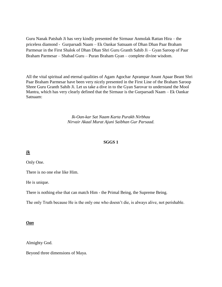Guru Nanak Patshah Ji has very kindly presented the Sirmaur Anmolak Rattan Hira – the priceless diamond - Gurparsadi Naam – Ek Oankar Satnaam of Dhan Dhan Paar Braham Parmesar in the First Shalok of Dhan Dhan Shri Guru Granth Sahib Ji – Gyan Saroop of Paar Braham Parmesar – Shabad Guru – Puran Braham Gyan – complete divine wisdom.

All the vital spiritual and eternal qualities of Agam Agochar Aprampar Anant Apaar Beant Shri Paar Braham Parmesar have been very nicely presented in the First Line of the Braham Saroop Shree Guru Granth Sahib Ji. Let us take a dive in to the Gyan Sarovar to understand the Mool Mantra, which has very clearly defined that the Sirmaur is the Gurparsadi Naam – Ek Oankar Satnaam:

> *Ik-Oan-kar Sat Naam Karta Purakh Nirbhau Nirvair Akaal Murat Ajuni Saibhan Gur Parsaad.*

#### **SGGS 1**

*Ik*

Only One.

There is no one else like Him.

He is unique.

There is nothing else that can match Him - the Primal Being, the Supreme Being.

The only Truth because He is the only one who doesn't die, is always alive, not perishable.

#### *Oan*

Almighty God.

Beyond three dimensions of Maya.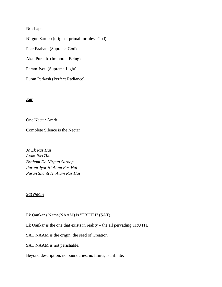No shape.

Nirgun Saroop (original primal formless God). Paar Braham (Supreme God) Akal Purakh (Immortal Being) Param Jyot (Supreme Light) Puran Parkash (Perfect Radiance)

#### *Kar*

One Nectar Amrit

Complete Silence is the Nectar

*Jo Ek Ras Hai Atam Ras Hai Braham Da Nirgun Saroop Param Jyot Hi Atam Ras Hai Puran Shanti Hi Atam Ras Hai*

## *Sat Naam*

Ek Oankar's Name(NAAM) is "TRUTH" (SAT).

Ek Oankar is the one that exists in reality – the all pervading TRUTH.

SAT NAAM is the origin, the seed of Creation.

SAT NAAM is not perishable.

Beyond description, no boundaries, no limits, is infinite.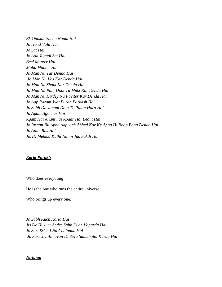*Ek Oankar Sacha Naam Hai Jo Hond Vala Hai Jo Sat Hai Jo Aad Jugadi Sat Hai Beej Manter Hai Maha Manter Hai Jo Man Nu Tar Denda Hai Jo Man Nu Vas Kar Denda Hai Jo Man Nu Shant Kar Denda Hai Jo Man Nu Panj Doot Tu Mukt Kar Denda Hai Jo Man Nu Hirdey Nu Paviter Kar Denda Hai Jo Aap Param Jyot Puran Parkash Hai Jo Sabh Da Janam Data Te Palan Hara Hai Jo Agam Agochar Hai Agam Hai Anant hai Apaar Hai Beant Hai Jo Insaan Nu Apne Aap vich Abhed Kar Ke Apna Hi Roop Bana Denda Hai Jo Atam Ras Hai Jis Di Mehma Kathi Nahin Jaa Sakdi Hai* 

#### *Karta Purakh*

Who does everything

He is the one who runs the entire universe

Who brings up every one.

*Jo Sabh Kuch Karta Hai Jis De Hukum Ander Sabh Kuch Vaparda Hai, Jo Sari Srishti Nu Chalanda Hai Jo Sare Jiv Atmavan Di Seva Sambhalta Karda Hai*

#### *Nirbhau*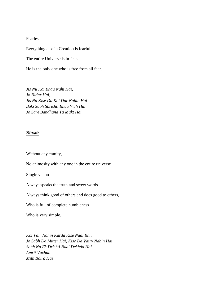#### Fearless

Everything else in Creation is fearful.

The entire Universe is in fear.

He is the only one who is free from all fear.

*Jis Nu Koi Bhau Nahi Hai, Jo Nidar Hai, Jis Nu Kise Da Koi Dar Nahin Hai Baki Sabh Shrishti Bhau Vich Hai Jo Sare Bandhana Tu Mukt Hai*

#### *Nirvair*

Without any enmity,

No animosity with any one in the entire universe

Single vision

Always speaks the truth and sweet words

Always think good of others and does good to others,

Who is full of complete humbleness

Who is very simple.

*Koi Vair Nahin Karda Kise Naal Bhi, Jo Sabh Da Mitter Hai, Kise Da Vairy Nahin Hai Sabh Nu Ek Drishti Naal Dekhda Hai Amrit Vachan Mith Bolra Hai*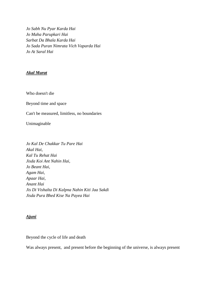*Jo Sabh Nu Pyar Karda Hai Jo Maha Parupkari Hai Sarbat Da Bhala Karda Hai Jo Sada Puran Nimrata Vich Vaparda Hai Jo At Saral Hai* 

## *Akal Murat*

Who doesn't die

Beyond time and space

Can't be measured, limitless, no boundaries

Unimaginable

*Jo Kal De Chakkar Tu Pare Hai Akal Hai, Kal Tu Rehat Hai Jisda Koi Ant Nahin Hai, Jo Beant Hai, Agam Hai, Apaar Hai, Anant Hai Jis Di Vishalta Di Kalpna Nahin Kiti Jaa Sakdi Jisda Pura Bhed Kise Na Payea Hai*

## *Ajuni*

Beyond the cycle of life and death

Was always present, and present before the beginning of the universe, is always present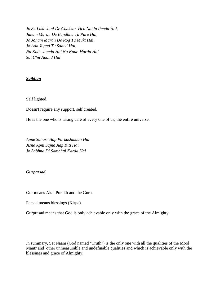*Jo 84 Lakh Juni De Chakkar Vich Nahin Penda Hai, Janam Maran De Bandhna Tu Pare Hai, Jo Janam Maran De Rog Tu Mukt Hai, Jo Aad Jugad Tu Sadivi Hai, Na Kade Jamda Hai Na Kade Marda Hai, Sat Chit Anand Hai*

## *Saibhan*

Self lighted.

Doesn't require any support, self created.

He is the one who is taking care of every one of us, the entire universe.

*Apne Sahare Aap Parkashmaan Hai Jisne Apni Sajna Aap Kiti Hai Jo Sabhna Di Sambhal Karda Hai*

## *Gurparsad*

Gur means Akal Purakh and the Guru.

Parsad means blessings (Kirpa).

Gurprasad means that God is only achievable only with the grace of the Almighty.

In summary, Sat Naam (God named "Truth") is the only one with all the qualities of the Mool Mantr and other unmeasurable and undefinable qualities and which is achievable only with the blessings and grace of Almighty.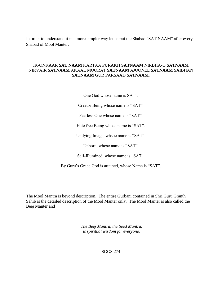In order to understand it in a more simpler way let us put the Shabad "SAT NAAM" after every Shabad of Mool Manter:

## IK-ONKAAR **SAT NAAM** KARTAA PURAKH **SATNAAM** NIRBHA-O **SATNAAM** NIRVAIR **SATNAAM** AKAAL MOORAT **SATNAAM** AJOONEE **SATNAAM** SAIBHAN **SATNAAM** GUR PARSAAD **SATNAAM**.

One God whose name is SAT".

Creator Being whose name is "SAT".

Fearless One whose name is "SAT".

Hate free Being whose name is "SAT".

Undying Image, whsoe name is "SAT".

Unborn, whose name is "SAT".

Self-Illumined, whose name is "SAT".

By Guru's Grace God is attained, whose Name is "SAT".

The Mool Mantra is beyond description. The entire Gurbani contained in Shri Guru Granth Sahib is the detailed description of the Mool Manter only. The Mool Manter is also called the Beej Manter and

> *The Beej Mantra, the Seed Mantra, is spiritual wisdom for everyone.*

> > SGGS 274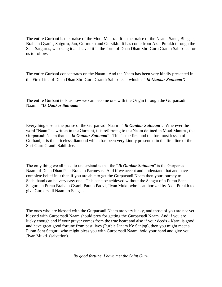The entire Gurbani is the praise of the Mool Mantra. It is the praise of the Naam, Sants, Bhagats, Braham Gyanis, Satguru, Jan, Gurmukh and Gursikh. It has come from Akal Purakh through the Sant Satgurus, who sang it and saved it in the form of Dhan Dhan Shri Guru Granth Sahib Jee for us to follow.

The entire Gurbani concentrates on the Naam. And the Naam has been very kindly presented in the First Line of Dhan Dhan Shri Guru Granth Sahib Jee – which is "*Ik Oankar Satnaam".*

The entire Gurbani tells us how we can become one with the Origin through the Gurparsadi Naam – "*Ik Oankar Satnaam*".

Everything else is the praise of the Gurparsadi Naam – "*Ik Oankar Satnaam*". Wherever the word "Naam" is written in the Gurbani, it is referreing to the Naam defined in Mool Mantra , the Gurparsadi Naam that is "*Ik Oankar Satnaam*". This is the first and the foremost lessen of Gurbani, it is the priceless diamond which has been very kindly presented in the first line of the Shri Guru Granth Sahib Jee.

The only thing we all need to understand is that the "*Ik Oankar Satnaam*" is the Gurparsadi Naam of Dhan Dhan Paar Braham Parmesar. And if we accept and understand that and have complete belief in it then if you are able to get the Gurparsadi Naam then your journey to Sachkhand can be very easy one. This can't be achieved without the Sangat of a Puran Sant Satguru, a Puran Braham Gyani, Param Padvi, Jivan Mukt, who is authorized by Akal Purakh to give Gurparsadi Naam to Sangat.

The ones who are blessed with the Gurparsadi Naam are very lucky, and those of you are not yet blessed with Gurparsadi Naam should prey for getting the Gurparsadi Naam. And if you are lucky enough and if your prayer comes from the true heart and also if your deeds - Karni is good, and have great good fortune from past lives (Purble Janam Ke Sanjog), then you might meet a Puran Sant Satguru who might bless you with Gurparsadi Naam, hold your hand and give you Jivan Mukti (salvation).

*By good fortune, I have met the Saint Guru.*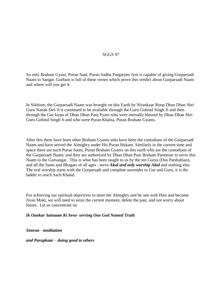## SGGS 97

So only Braham Gyani, Puran Sant, Puran Sadhu Pargatyeo Jyot is capable of giving Gurparsadi Naam to Sangat. Gurbani is full of these verses which prove this verdict about Gurparsadi Naam and where will you get it.

In Sikhism, the Gurparsadi Naam was brought on this Earth by Nirankaar Roop Dhan Dhan Shri Guru Nanak Dev Ji it continued to be available through the Guru Gobind Singh Ji and then through the Gur kirpa of Dhan Dhan Panj Pyare who were eternally blessed by Dhan Dhan Shri Guru Gobind Singh Ji and who were Puran Khalsa, Puran Braham Gyanis.

After this there have been other Braham Gyanis who have been the custodians of the Gurparsadi Naam and have served the Almighty under His Puran Hukam. Similarly in the current time and space there are such Puran Sants, Puran Braham Gyanis on this earth who are the custodians of the Gurparsadi Naam, and they are authorized by Dhan Dhan Paar Braham Parmesar to serve this Naam to the Gursangat. This is what has been taught to us by the ten Gurus (Dus Patshahian), and all the Sants and Bhagats of all ages : serve *Akal and only worship Akal* and nothing else. The real worship starts with the Gurparsadi and complete surrender to Gur and Guru, it is the ladder to reach Sach Khand.

For achieving our spiritual objectives to meet the Almighty and be one with Him and become Jivan Mukt, we will need to seize the current moment, delete the past, and not worry about future. Let us concentrate on

*Ik Oankar Satnaam Ki Seva- serving One God Named Truth*

*Simran - meditation*

*and Parupkaar* – *doing good to others*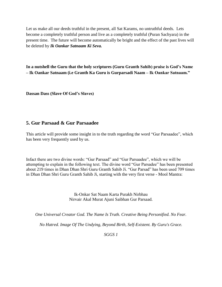Let us make all our deeds truthful in the present, all Sat Karams, no untruthful deeds. Lets become a completely truthful person and live as a completely truthful (Puran Sachyara) in the present time. The future will become automatically be bright and the effect of the past lives will be deleted by *Ik Oankar Satnaam Ki Seva.* 

**In a nutshell the Guru that the holy scriptures (Guru Granth Sahib) praise is God's Name – Ik Oankar Satnaam (i.e Granth Ka Guru is Gurparsadi Naam – Ik Oankar Satnaam."**

**Dassan Dass (Slave Of God's Slaves)**

# <span id="page-20-0"></span>**5. Gur Parsaad & Gur Parsaadee**

This article will provide some insight in to the truth regarding the word "Gur Parsaadee", which has been very frequently used by us.

Infact there are two divine words: "Gur Parsaad" and "Gur Parsaadee", which we will be attempting to explain in the following text. The divine word "Gur Parsadee" has been presented about 219 times in Dhan Dhan Shri Guru Granth Sahib Ji. "Gur Parsad" has been used 709 times in Dhan Dhan Shri Guru Granth Sahib Ji, starting with the very first verse - Mool Mantra:

> Ik-Onkar Sat Naam Karta Purakh Nirbhau Nirvair Akal Murat Ajuni Saibhan Gur Parsaad.

*One Universal Creator God. The Name Is Truth. Creative Being Personified. No Fear.* 

*No Hatred. Image Of The Undying, Beyond Birth, Self-Existent. By Guru's Grace.*

*SGGS 1*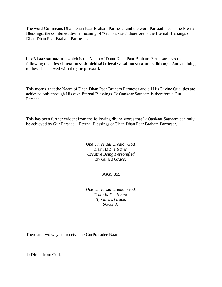The word Gur means Dhan Dhan Paar Braham Parmesar and the word Parsaad means the Eternal Blessings, the combined divine meaning of "Gur Parsaad" therefore is the Eternal Blessings of Dhan Dhan Paar Braham Parmesar.

**ik-oNkaar sat naam** – which is the Naam of Dhan Dhan Paar Braham Parmesar - has the following qualities : **karta purakh nirbhaU nirvair akal murat ajuni saibhang.** And attaining to these is achieved with the **gur parsaad.**

This means that the Naam of Dhan Dhan Paar Braham Parmesar and all His Divine Qualities are achieved only through His own Eternal Blessings. Ik Oankaar Satnaam is therefore a Gur Parsaad.

This has been further evident from the following divine words that Ik Oankaar Satnaam can only be achieved by Gur Parsaad – Eternal Blessings of Dhan Dhan Paar Braham Parmesar.

> *One Universal Creator God. Truth Is The Name. Creative Being Personified By Guru's Grace:*

## SGGS 855

*One Universal Creator God. Truth Is The Name. By Guru's Grace: SGGS 81*

There are two ways to receive the GurPrasadee Naam:

1) Direct from God: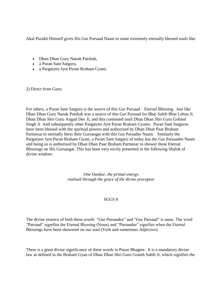Akal Purakh Himself gives His Gur Parsaad Naam to some extremely eternally blessed souls like

- Dhan Dhan Guru Nanak Patshah,
- a Puran Sant Satguru,
- a Pargatyeo Jyot Puran Braham Gyani;

2) Direct from Guru:

For others, a Puran Sant Satguru is the source of this Gur Parsaad – Eternal Blessing. Just like Dhan Dhan Guru Nanak Patshah was a source of this Gur Parsaad for Bhai Sahib Bhai Lehna Ji. Dhan Dhan Shri Guru Angad Dev Ji, and this continued until Dhan Dhan Shri Guru Gobind Singh Ji And subsequently other Pargatyeo Jyot Puran Braham Gyanis. Puran Sant Satgurus have been blessed with the spiritual powers and authorized by Dhan Dhan Paar Braham Parmesar to eternally bless their Gursangat with this Gur Parsadee Naam. Similarly the Pargatyeo Jyot Puran Braham Gyani, a Puran Sant Satguru of today has the Gur Parsaadee Naam and being so is authorized by Dhan Dhan Paar Braham Parmesar to shower these Eternal Blessings on His Gursangat. This has been very nicely presented in the following Shalok of divine wisdom:

> *One Oankar, the primal energy, realised through the grace of the divine preceptor*

## SGGS 8

The divine essence of both these words "Gur Parsaadee" and "Gur Parsaad" is same. The word "Parsaad" signifies the Eternal Blessing (Noun) and "Parsaadee" signifies when the Eternal Blessings have been showered on our soul (Verb and sometimes Adjective).

There is a great divine significance of these words in Puran Bhagtee. It is a mandatory divine law as defined in the Braham Gyan of Dhan Dhan Shri Guru Granth Sahib Ji, which signifies the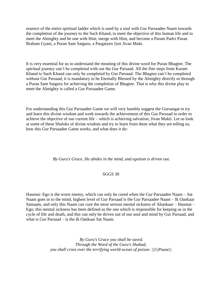essence of the entire spiritual ladder which is used by a soul with Gur Parsaadee Naam towards the completion of the journey to the Sach Khand, to meet the objective of this human life and to meet the Almighty and be one with Him, merge with Him, and become a Param Padvi Puran Braham Gyani, a Puran Sant Satguru, a Pargatyeo Jyot Jivan Mukt.

It is very essential for us to understand the meaning of this divine word for Puran Bhagtee. The spiritual journey can't be completed with out the Gur Parsaad. All the fine steps from Karam Khand to Sach Khand can only be completed by Gur Parsaad. The Bhagtee can't be completed without Gur Parsaad, it is mandatory to be Eternally Blessed by the Almighty directly or through a Puran Sant Satguru for achieving the completion of Bhagtee. That is why this divine play to meet the Almighty is called a Gur Parsaadee Game.

For understanding this Gur Parsaadee Game we will very humbly suggest the Gursangat to try and learn this divine wisdom and work towards the achievement of this Gur Parsaad in order to achieve the objective of our current life – which is achieving salvation; Jivan Mukti. Let us look at some of these Shaloks of divine wisdom and try to learn from them what they are telling us, how this Gur Parsaadee Game works, and what does it do:

*By Guru's Grace, He abides in the mind, and egotism is driven out.*

## SGGS 30

Haumai- Ego is the worst enemy, which can only be cured when the Gur Parsaadee Naam – Sat Naam goes in to the mind, highest level of Gur Parsaad is the Gur Parsaadee Naam – Ik Oankaar Satnaam, and only this Naam can cure the most serious mental sickness of Ahankaar – Haumai – Ego; this mental sickness has been defined as the one which is responsible for keeping us in the cycle of life and death, and this can only be driven out of our soul and mind by Gur Parsaad, and what is Gur Parsaad – is the Ik Oankaar Sat Naam.

> *By Guru's Grace you shall be saved. Through the Word of the Guru's Shabad, you shall cross over the terrifying world-ocean of poison. ||1||Pause||*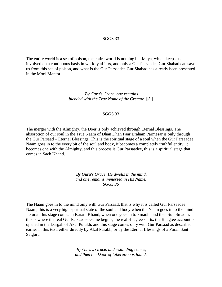#### SGGS 33

The entire world is a sea of poison, the entire world is nothing but Maya, which keeps us involved on a continuous basis in worldly affairs, and only a Gur Parsaadee Gur Shabad can save us from this sea of poison, and what is the Gur Parsaadee Gur Shabad has already been presented in the Mool Mantra.

> *By Guru's Grace, one remains blended with the True Name of the Creator. ||3||*

#### SGGS 33

The merger with the Almighty, the Doer is only achieved through Eternal Blessings. The absorption of our soul in the True Naam of Dhan Dhan Paar Braham Parmesar is only through the Gur Parsaad – Eternal Blessings. This is the spiritual stage of a soul when the Gur Parsaadee Naam goes in to the every bit of the soul and body, it becomes a completely truthful entity, it becomes one with the Almighty, and this process is Gur Parsaadee, this is a spiritual stage that comes in Sach Khand.

> *By Guru's Grace, He dwells in the mind, and one remains immersed in His Name. SGGS 36*

The Naam goes in to the mind only with Gur Parsaad, that is why it is called Gur Parsaadee Naam, this is a very high spiritual state of the soul and body when the Naam goes in to the mind – Surat, this stage comes in Karam Khand, when one goes in to Smadhi and then Sun Smadhi, this is where the real Gur Parsaadee Game begins, the real Bhagtee starts, the Bhagtee account is opened in the Dargah of Akal Purakh, and this stage comes only with Gur Parsaad as described earlier in this text, either directly by Akal Purakh, or by the Eternal Blessings of a Puran Sant Satguru.

> *By Guru's Grace, understanding comes, and then the Door of Liberation is found.*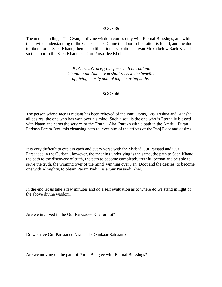#### SGGS 36

The understanding – Tat Gyan, of divine wisdom comes only with Eternal Blessings, and with this divine understanding of the Gur Parsadee Game the door to liberation is found, and the door to liberation is Sach Khand, there is no liberation – salvation – Jivan Mukti below Sach Khand, so the door to the Sach Khand is a Gur Parsaadee Khel.

> *By Guru's Grace, your face shall be radiant. Chanting the Naam, you shall receive the benefits of giving charity and taking cleansing baths.*

#### SGGS 46

The person whose face is radiant has been relieved of the Panj Doots, Asa Trishna and Mansha – all desires, the one who has won over his mind. Such a soul is the one who is Eternally blessed with Naam and earns the service of the Truth – Akal Purakh with a bath in the Amrit – Puran Parkash Param Jyot, this cleansing bath relieves him of the effects of the Panj Doot and desires.

It is very difficult to explain each and every verse with the Shabad Gur Parsaad and Gur Parsaadee in the Gurbani, however, the meaning underlying is the same, the path to Sach Khand, the path to the discovery of truth, the path to become completely truthful person and be able to serve the truth, the winning over of the mind, winning over Panj Doot and the desires, to become one with Almighty, to obtain Param Padvi, is a Gur Parsaadi Khel.

In the end let us take a few minutes and do a self evaluation as to where do we stand in light of the above divine wisdom.

Are we involved in the Gur Parsaadee Khel or not?

Do we have Gur Parsaadee Naam – Ik Oankaar Satnaam?

Are we moving on the path of Puran Bhagtee with Eternal Blessings?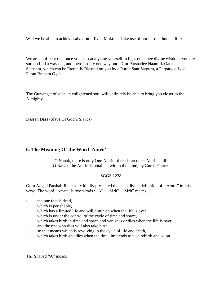Will we be able to achieve salvation – Jivan Mukti and ake use of our current human life?

We are confident that once you start analyzing yourself in light on above divine wisdom, you are sure to find a way out, and there is only one way out – Gur Parsaadee Naam Ik Oankaar Satnaam, which can be Eternally Blessed on you by a Puran Sant Satguru, a Pargatyeo Jyot Puran Braham Gyani.

The Gursangat of such an enlightened soul will definitely be able to bring you closer to the Almighty.

Dassan Dass (Slave Of God's Slaves)

# <span id="page-26-0"></span>**6. The Meaning Of the Word 'Amrit'**

O Nanak, there is only One Amrit; there is no other Amrit at all. O Nanak, the Amrit is obtained within the mind, by Guru's Grace.

## SGGS 1238

Guru Angad Patshah Ji has very kindly presented the deep divine definition of "Amrit" in this verse. The word "Amrit" is two wrods : "A" – "Mrit". "Mrit" means

- the one that is dead.
- which is perishable,
- · which has a limited life and will diminish when the life is over,
- which is under the control of the cycle of time and space,
- · which takes birth in time and space and vanishes or dies when the life is over,
- and the one who dies will also take birth,
- · so that means which is revolving in the cycle of life and death,
- · which takes birth and dies when the time limit ends to take rebirth and so on.

The Shabad "A" means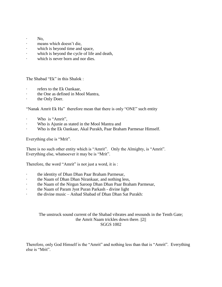- · No,
- · means which doesn't die,
- · which is beyond time and space,
- which is beyond the cycle of life and death,
- which is never born and nor dies.

The Shabad "Ek" in this Shalok :

- · refers to the Ek Oankaar,
- · the One as defined in Mool Mantra,
- the Only Doer.

"Nanak Amrit Ek Ha" therefore mean that there is only "ONE" such entity

- · Who is "Amrit",
- · Who is Ajunie as stated in the Mool Mantra and
- · Who is the Ek Oankaar, Akal Purakh, Paar Braham Parmesar Himself.

Everything else is "Mrit".

There is no such other entity which is "Amrit". Only the Almighty, is "Amrit". Everything else, whatsoever it may be is "Mrit".

Therefore, the word "Amrit" is not just a word, it is :

- the identity of Dhan Dhan Paar Braham Parmesar,
- · the Naam of Dhan Dhan Nirankaar, and nothing less,
- · the Naam of the Nirgun Saroop Dhan Dhan Paar Braham Parmesar,
- the Naam of Param Jyot Puran Parkash divine light
- · the divine music Anhad Shabad of Dhan Dhan Sat Purakh:

## The unstruck sound current of the Shabad vibrates and resounds in the Tenth Gate; the Amrit Naam trickles down there. ||2|| SGGS 1002

Therefore, only God Himself is the "Amrit" and nothing less than that is "Amrit". Everything else is "Mrit".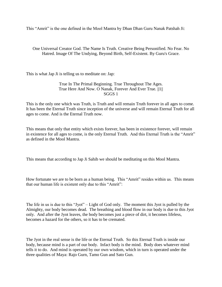This "Amrit" is the one defined in the Mool Mantra by Dhan Dhan Guru Nanak Patshah Ji:

One Universal Creator God. The Name Is Truth. Creative Being Personified. No Fear. No Hatred. Image Of The Undying, Beyond Birth, Self-Existent. By Guru's Grace.

This is what Jap Ji is telling us to meditate on: Jap:

True In The Primal Beginning. True Throughout The Ages. True Here And Now. O Nanak, Forever And Ever True. ||1|| SGGS 1

This is the only one which was Truth, is Truth and will remain Truth forever in all ages to come. It has been the Eternal Truth since inception of the universe and will remain Eternal Truth for all ages to come. And is the Eternal Truth now.

This means that only that entity which exists forever, has been in existence forever, will remain in existence for all ages to come, is the only Eternal Truth. And this Eternal Truth is the "Amrit" as defined in the Mool Mantra.

This means that according to Jap Ji Sahib we should be meditating on this Mool Mantra.

How fortunate we are to be born as a human being. This "Amrit" resides within us. This means that our human life is existent only due to this "Amrit":

The life in us is due to this "Jyot" – Light of God only. The moment this Jyot is pulled by the Almighty, our body becomes dead. The breathing and blood flow in our body is due to this Jyot only. And after the Jyot leaves, the body becomes just a piece of dirt, it becomes lifeless, becomes a hazard for the others, so it has to be cremated.

The Jyot in the real sense is the life or the Eternal Truth. So this Eternal Truth is inside our body, because mind is a part of our body. Infact body is the mind. Body does whatever mind tells it to do. And mind is operated by our own wisdom, which in turn is operated under the three qualities of Maya: Rajo Gurn, Tamo Gun and Sato Gun.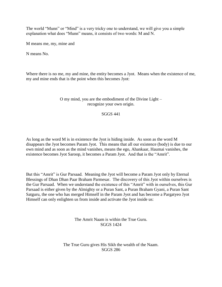The world "Munn" or "Mind" is a very tricky one to understand, we will give you a simple explanation what does "Munn" means, it consists of two words: M and N.

M means me, my, mine and

N means No.

Where there is no me, my and mine, the entity becomes a Jyot. Means when the existence of me, my and mine ends that is the point when this becomes Jyot:

## O my mind, you are the embodiment of the Divine Light – recognize your own origin.

#### SGGS 441

As long as the word M is in existence the Jyot is hiding inside. As soon as the word M disappears the Jyot becomes Param Jyot. This means that all our existence (body) is due to our own mind and as soon as the mind vanishes, means the ego, Ahankaar, Haumai vanishes, the existence becomes Jyot Saroop, it becomes a Param Jyot. And that is the "Amrit".

But this "Amrit" is Gur Parsaad. Meaning the Jyot will become a Param Jyot only by Eternal Blessings of Dhan Dhan Paar Braham Parmesar. The discovery of this Jyot within ourselves is the Gur Parsaad. When we understand the existence of this "Amrit" with in ourselves, this Gur Parsaad is either given by the Almighty or a Puran Sant, a Puran Braham Gyani, a Puran Sant Satguru, the one who has merged Himself in the Param Jyot and has become a Pargatyeo Jyot Himself can only enlighten us from inside and activate the Jyot inside us:

> The Amrit Naam is within the True Guru. SGGS 1424

The True Guru gives His Sikh the wealth of the Naam. SGGS 286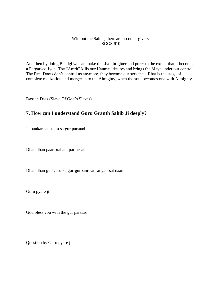## Without the Saints, there are no other givers. SGGS 610

And then by doing Bandgi we can make this Jyot brighter and purer to the extent that it becomes a Pargatyeo Jyot. The "Amrit" kills our Haumai, desires and brings the Maya under our control. The Panj Doots don't control us anymore, they become our servants. Rhat is the stage of complete realization and merger in to the Almighty, when the soul becomes one with Almighty.

Dassan Dass (Slave Of God's Slaves)

# <span id="page-30-0"></span>**7. How can I understand Guru Granth Sahib Ji deeply?**

Ik oankar sat naam satgur parsaad

Dhan dhan paar braham parmesar

Dhan dhan gur-guru-satgur-gurbani-sat sangat- sat naam

Guru pyare ji:

God bless you with the gur parsaad.

Question by Guru pyare ji :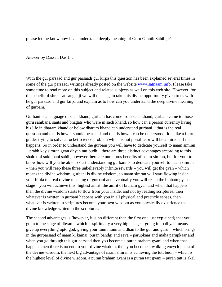please let me know how i can understand deeply meaning of Guru Granth Sahib ji?

Answer by Dassan Das Ji :

With the gur parsaad and gur parsaadi gur kirpa this question has been explained several times in some of the gur parsaadi writings already posted on the website [www.satnaam.info.](http://satnaam.info/) Please take some time to read more on this subject and related subjects as well on this web site. However, for the benefit of shree sat sangat ji we will once again take this divine opportunity given to us with he gur parsaad and gur kirpa and explain as to how can you understand the deep divine meaning of gurbani.

Gurbani is a language of sach khand, gurbani has come from sach khand, gurbani came to those guru sahibans, sants and bhagats who were in sach khand, so how can a person currently living his life in dharam khand or below dharam khand can understand gurbani – that is the real question and that is how it should be asked and that is how it can be understood. It is like a fourth grader trying to solve a rocket science problem which is not possible or will be a miracle if that happens. So in order to understand the gurbani you will have to dedicate yourself to naam simran – prabh key simran gyan dhyan tatt budh – there are three distinct advantages according to this shalok of sukhmani sahib, however there are numerous benefits of naam simran, but for your to know how will you be able to start understanding gurbani is to dedicate yourself to naam simran – then you will reep these three unbelievably infinite rewards – you will get the gyan – which means the divine wisdom, gurbani is divine wisdom, so naam simran will start flowing inside your hirda the real divine meaning of gurbani and eventually you will reach the braham gyan stage – you will achieve this highest amrit, the amrit of braham gyan and when that happens then the divine wisdom starts to flow from your inside, and not by reading scriptures, then whatever is written in gurbani happens with you in all physical and practicle senses, then whatever is written in scriptures become your own wisdom as you physically experience the divine knowledge writen in the scriptures.

The second advantages is (however, it is no different than the first one just explained) that you go in to the stage of dhyan – which is spiritually a very high stage – going in to dhyan means give up everything upto god, giving your tunn munn and dhan to the gur and guru – which brings in the gurparsaad of naam ki kamai, puran bandgi and seva – parupkaar and maha parupkaar and when you go through this gur parsaad then you become a puran braham gyani and when that happens then there is no end to your divine wisdom, then you become a walking encyclopedia of the devine wisdom, the next big advantage of naam simran is achieving the tutt budh – which is the highest level of divine wisdom, a puran braham gyani is a puran tatt gyani – puran tatt is akal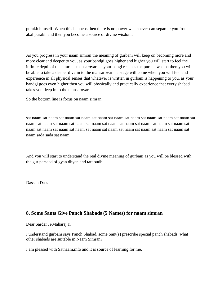purakh himself. When this happens then there is no power whatsoever can separate you from akal purakh and then you become a source of divine wisdom.

As you progress in your naam simran the meaning of gurbani will keep on becoming more and more clear and deeper to you, as your bandgi goes higher and higher you will start to feel the infinite depth of the amrit – mansarovar, as your bangi reaches the puran awastha then you will be able to take a deeper dive in to the mansarovar – a stage will come when you will feel and experience in all physical senses that whatever is written in gurbani is happening to you, as your bandgi goes even higher then you will physically and practically experience that every shabad takes you deep in to the mansarovar.

So the bottom line is focus on naam simran:

sat naam sat naam sat naam sat naam sat naam sat naam sat naam sat naam sat naam sat naam sat naam sat naam sat naam sat naam sat naam sat naam sat naam sat naam sat naam sat naam sat naam sat naam sat naam sat naam sat naam sat naam sat naam sat naam sat naam sat naam sat naam sada sada sat naam

And you will start to understand the real divine meaning of gurbani as you will be blessed with the gur parsaad of gyan dhyan and tatt budh.

Dassan Dass

# <span id="page-32-0"></span>**8. Some Sants Give Panch Shabads (5 Names) for naam simran**

Dear Sardar Ji/Maharaj Ji

I understand gurbani says Panch Shabad, some Sant(s) prescribe special panch shabads, what other shabads are suitable in Naam Simran?

I am pleased with Satnaam.info and it is source of learning for me.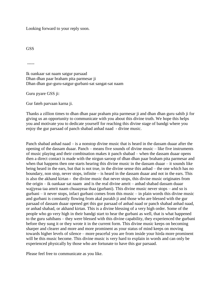Looking forward to your reply soon.

**GSS** 

-----

Ik oankaar sat naam satgur parsaad Dhan dhan paar braham pita parmesar ji Dhan dhan gur-guru-satgur-gurbani-sat sangat-sat naam

Guru pyare GSS ji:

Gur fateh parvaan karna ji.

Thanks a zillion times to dhan dhan paar praham pita parmesar ji and dhan dhan guru sahib ji for giving us an opportunity to communicate with you about this divine truth. We hope this helps you and motivate you to dedicate yourself for reaching this divine stage of bandgi where you enjoy the gur parsaad of panch shabad anhad naad - divine music.

Panch shabad anhad naad – is a nonstop divine music that is heard in the dassam duaar after the opening of the dassam duaar. Panch – means five sounds of divine music – like five instruments of music playing and their combination makes it panch shabad – when the dassam duaar opens then a direct contact is made with the nirgun saroop of dhan dhan paar braham pita parmesar and when that happens then one starts hearing this divine music in the dassam duaar – it sounds like being heard in the ears, but that is not true, in the divine sense this anhad – the one which has no boundary, non stop, never stops, infinite – is heard in the dassam duaar and not in the ears. This is also the akhand kirtan - the divine music that never stops, this divine music originates from the origin – ik oankaar sat naam and is the real divine amrit – anhad shabad dassam duaar wajjyeaa taa amrit naam chuaayeaa thaa (gurbani). This divine music never stops – and so is gurbani – it never stops, infact gurbani comes from this music – in plain words this divine music and gurbani is constantly flowing from akal purakh ji and those who are blessed with the gur parsaad of dassam duaar opened get this gur parsaad of anhad naad or panch shabad anhad naad, or anhad shabad, or akhand kirtan. This is a divine blessing of a very high order. Some of the people who go very high in their bandgi start to hear the gurbani as well, that is what happened to the guru sahibans – they were blessed with this divine capability, they experienced the gurbani before they sung it or they wrote it in the current form. This divine music keeps on becoming sharper and clearer and more and more prominent as your status of mind keeps on moving towards higher levels of silence – more peaceful you are from inside your hirda more prominent will be this music become. This divine music is very hard to explain in words and can only be experienced physically by those who are fortunate to have this gur parsaad.

Please feel free to communicate as you like.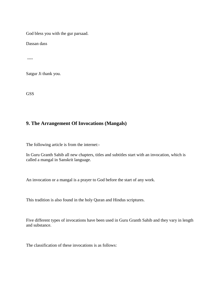God bless you with the gur parsaad.

Dassan dass

----

Satgur Ji thank you.

**GSS** 

# <span id="page-34-0"></span>**9. The Arrangement Of Invocations (Mangals)**

The following article is from the internet:-

In Guru Granth Sahib all new chapters, titles and subtitles start with an invocation, which is called a mangal in Sanskrit language.

An invocation or a mangal is a prayer to God before the start of any work.

This tradition is also found in the holy Quran and Hindus scriptures.

Five different types of invocations have been used in Guru Granth Sahib and they vary in length and substance.

The classification of these invocations is as follows: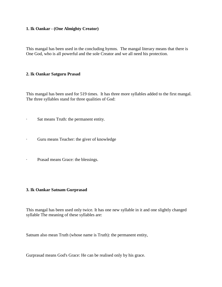## **1. Ik Oankar - (One Almighty Creator)**

This mangal has been used in the concluding hymns. The mangal literary means that there is One God, who is all powerful and the sole Creator and we all need his protection.

## **2. Ik Oankar Satguru Prasad**

This mangal has been used for 519 times. It has three more syllables added to the first mangal. The three syllables stand for three qualities of God:

- · Sat means Truth: the permanent entity.
- · Guru means Teacher: the giver of knowledge
- · Prasad means Grace: the blessings.

## **3. Ik Oankar Satnam Gurprasad**

This mangal has been used only twice. It has one new syllable in it and one slightly changed syllable The meaning of these syllables are:

Satnam also mean Truth (whose name is Truth): the permanent entity,

Gurprasad means God's Grace: He can be realised only by his grace.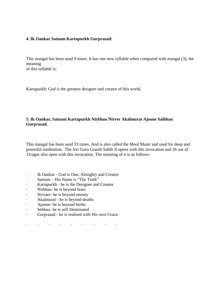### **4. Ik Oankar Satnam Kartapurkh Gurprasad:**

This mangal has been used 9 times. It has one new syllable when compared with mangal (3), the meaning of this syllable is:

Kartapurkh: God is the greatest designer and creator of this world.

### **5. Ik Oankar, Satnam Kartapurkh Nirbhau Nirver Akalmurat Ajoone Saibhau Gurprasad.**

This mangal has been used 33 times. And is also called the Mool Mantr and used for deep and powerful meditation. The Siri Guru Granth Sahib Ji opens with this invocation and 26 out of 31ragas also open with this invocation. The meaning of it is as follows:

- · Ik Oankar God is One, Almighty and Creator
- · Satnam His Name is "The Truth"
- · Kartapurkh he is the Designer and Creator
- · Nirbhau- he is beyond fears
- · Nirvaer- he is beyond enmity
- · Akalmurat he is beyond deaths
- · Ajoone- he is beyond births
- · Sebhau- he is self illuminated
- · Gurprasad he is realised with His own Grace.
- · · · · · · · · ·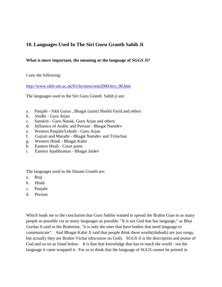# **10. Languages Used In The Siri Guru Granth Sahib Ji**

## **What is more important, the meaning or the language of SGGS Ji?**

I saw the following:

[http://www.sikh-uni.ac.uk/01/lectures/sem2000/lect\\_08.htm](http://www.sikh-uni.ac.uk/01/lectures/sem2000/lect_08.htm)

The languages used in the Siri Guru Granth Sahib ji are:

- a. Panjabi Sikh Gurus , Bhagat (saint) Sheikh Farid and others
- b. Sindhi Guru Arjan
- c. Sanskrit Guru Nanak, Guru Arjan and others
- d. Influence of Arabic and Persian Bhagat Namdev
- e. Western Panjabi/Lehndi Guru Arjan
- f. Gujrati and Marathi Bhagat Namdev and Trilochan
- g. Western Hindi Bhagat Kabir
- h. Eastern Hindi Court poets
- i. Eastern Apabhramas Bhagat Jaidev

The languages used in the Dasam Granth are:

- a. Braj
- b. Hindi
- c. Panjabi
- d. Persian

Which leads me to the conclusion that Guru Sahibs wanted to spread the Brahm Gian to as many people as possible via as many languages as possible. "It is not God that has language," as Bhai Gurdas Ji said to the Brahmins, "it is only the ones that have bodies that need language to communicate". And Bhagat Kabir Ji said that people think these words(shabads) are just songs, but actually they are Brahm Vichar (discourse on God). SGGS Ji is the description and praise of God and so on as listed below. It is that that knowledge that has to reach the world - not the language it came wrapped it. For us to think that the language of SGGS cannot be printed in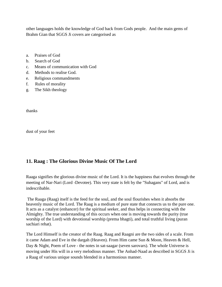other languages holds the knowledge of God back from Gods people. And the main gems of Brahm Gian that SGGS Ji covers are categorised as

- a. Praises of God
- b. Search of God
- c. Means of communication with God
- d. Methods to realise God.
- e. Religious commandments
- f. Rules of morality
- g. The Sikh theology

thanks

dust of your feet

# **11. Raag : The Glorious Divine Music Of The Lord**

Raaga signifies the glorious divine music of the Lord. It is the happiness that evolves through the meeting of Nar-Nari (Lord -Devotee). This very state is felt by the "Suhagans" of Lord, and is indescribable.

The Raaga (Raag) itself is the feed for the soul, and the soul flourishes when it absorbs the heavenly music of the Lord. The Raag is a medium of pure state that connects us to the pure one. It acts as a catalyst (enhancer) for the spiritual seeker, and thus helps in connecting with the Almighty. The true understanding of this occurs when one is moving towards the purity (true worship of the Lord) with devotional worship (prema bhagti), and total truthful living (puran sachiari rehat).

The Lord Himself is the creator of the Raag. Raag and Raagni are the two sides of a scale. From it came Adam and Eve in the dargah (Heaven). From Him came Sun & Moon, Heaven & Hell, Day & Night, Poem of Love - the notes in sat-saagar (seven sarovars). The whole Universe is moving under His will in a very melodious manner. The Anhad-Naad as described in SGGS Ji is a Raag of various unique sounds blended in a harmonious manner.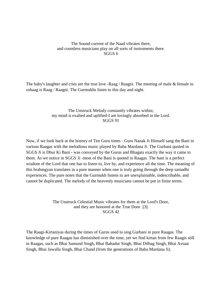### The Sound-current of the Naad vibrates there, and countless musicians play on all sorts of instruments there. SGGS 6

The baby's laughter and cries are the true love -Raag / Raagni. The meeting of male  $\&$  female in sohaag is Raag / Raagni. The Gurmukhs listen to this day and night.

### The Unstruck Melody constantly vibrates within; my mind is exalted and uplifted-I am lovingly absorbed in the Lord. SGGS 91

Now, if we look back at the history of Ten Guru times - Guru Nanak Ji Himself sang the Bani in various Raagas with the melodious music played by Baba Mardana Ji. The Gurbani quoted in SGGS Ji is Dhur Ki Bani - was conveyed by the Gurus and Bhagats exactly the way it came to them. As we notice in SGGS Ji -most of the Bani is quoted in Raagas. The bani is a perfect wisdom of the Lord that one has to listen to, live by, and experience all the time. The meaning of this brahmgyan translates in a pure manner when one is truly going through the deep samadhi experiences. The pure notes that the Gurmukh listens to are unexplainable, indescribable, and cannot be duplicated. The melody of the heavenly musicians cannot be put in finite terms.

#### The Unstruck Celestial Music vibrates for them at the Lord's Door, and they are honored at the True Door. ||3|| SGGS 42

The Raagi-Kirtaniyas during the times of Gurus used to sing Gurbani in pure Raagas. The knowledge of pure Raagas has diminished over the time, yet we find kirtan from few Raagis still in Raagas, such as Bhai Samund Singh, Bhai Bahadur Singh, Bhai Dilbag Singh, Bhai Avtaar Singh, Bhai Jawalla Singh, Bhai Chand (from the generations of Baba Mardana Ji).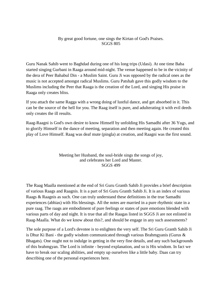### By great good fortune, one sings the Kirtan of God's Praises. SGGS 805

Guru Nanak Sahib went to Baghdad during one of his long trips (Udasi). At one time Baba started singing Gurbani in Raaga around mid-night. The venue happened to be in the vicinity of the dera of Peer Bahabul Din - a Muslim Saint. Guru Ji was opposed by the radical ones as the music is not accepted amongst radical Muslims. Guru Patshah gave this godly wisdom to the Muslims including the Peer that Raaga is the creation of the Lord, and singing His praise in Raaga only creates bliss.

If you attach the same Ragga with a wrong doing of lustful dance, and get absorbed in it. This can be the source of the hell for you. The Raag itself is pure, and adulterating it with evil deeds only creates the ill results.

Raag-Raagni is God's own desire to know Himself by unfolding His Samadhi after 36 Yugs, and to glorify Himself in the dance of meeting, separation and then meeting again. He created this play of Love Himself. Raag was deaf mute (pingla) at creation, and Raagni was the first sound.

#### Meeting her Husband, the soul-bride sings the songs of joy, and celebrates her Lord and Master. SGGS 499

The Raag Maalla mentioned at the end of Sri Guru Granth Sahib Ji provides a brief description of various Raags and Raagnis. It is a part of Sri Guru Granth Sahib Ji. It is an index of various Raags & Raagnis as such. One can truly understand these definitions in the true Samadhi experiences (abhias) with His blessings. All the notes are married in a pure rhythmic state in a pure raag. The raags are embodiment of pure feelings or states of pure emotions blended with various parts of day and night. It is true that all the Raagas listed in SGGS Ji are not enlisted in Raag-Maalla. What do we know about this?, and should be engage in any such assessments?

The sole purpose of a Lord's devotee is to enlighten the very self. The Sri Guru Granth Sahib Ji is Dhur Ki Bani - the godly wisdom communicated through various Brahmgyanis (Gurus & Bhagats). One ought not to indulge in getting in the very fine details, and any such backgrounds of this brahmgyan. The Lord is infinite - beyond explanation, and so is His wisdom. In fact we have to break our scaling abilities, and empty up ourselves like a little baby. Daas can try describing one of the personal experiences here.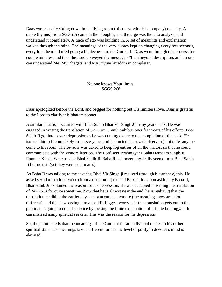Daas was casually sitting down in the living room (of course with His company) one day. A quote (hymns) from SGGS Ji came in the thoughts, and the urge was there to analyze, and understand it completely. A trace of ego was building in. A set of meanings and explanation walked through the mind. The meanings of the very quotes kept on changing every few seconds, everytime the mind tried going a bit deeper into the Gurbani. Daas went through this process for couple minutes, and then the Lord conveyed the message - "I am beyond description, and no one can understand Me, My Bhagats, and My Divine Wisdom in complete".

> No one knows Your limits. SGGS 268

Daas apologized before the Lord, and begged for nothing but His limitless love. Daas is grateful to the Lord to clarify this bharam sooner.

A similar situation occurred with Bhai Sahib Bhai Vir Singh Ji many years back. He was engaged in writing the translation of Sri Guru Granth Sahib Ji over few years of his efforts. Bhai Sahib Ji got into severe depression as he was coming closer to the completion of this task. He isolated himself completely from everyone, and instructed his sevadar (servant) not to let anyone come to his room. The sevadar was asked to keep log entries of all the visitors so that he could communicate with the visitors later on. The Lord sent Brahmgyani Baba Harnaam Singh Ji Rampur Kheda Wale to visit Bhai Sahib Ji. Baba Ji had never physically seen or met Bhai Sahib Ji before this (yet they were soul mates).

As Baba Ji was talking to the sevadar, Bhai Vir Singh ji realized (through his anbhav) this. He asked sevadar in a loud voice (from a deep room) to send Baba Ji in. Upon asking by Baba Ji, Bhai Sahib Ji explained the reason for his depression: He was occupied in writing the translation of SGGS Ji for quite sometime. Now that he is almost near the end, he is realizing that the translation he did in the earlier days is not accurate anymore (the meanings now are a lot different), and this is worrying him a lot. His biggest worry is if this translation gets out to the public, it is going to do a disservice by locking the finite explanation of infinite brahmgyan. It can mislead many spiritual seekers. This was the reason for his depression.

So, the point here is that the meanings of the Gurbani for an individual relates to his or her spiritual state. The meanings take a different turn as the level of purity in devotee's mind is elevated,.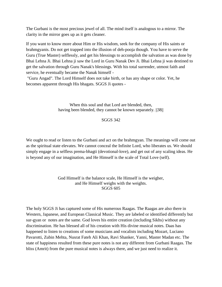The Gurbani is the most precious jewel of all. The mind itself is analogous to a mirror. The clarity in the mirror goes up as it gets cleaner.

If you want to know more about Him or His wisdom, seek for the company of His saints or brahmgyanis. Do not get trapped into the illusion of deh-pooja though. You have to serve the Guru (True Master) selflessly, and get his blessings to accomplish the salvation as was done by Bhai Lehna Ji. Bhai Lehna ji saw the Lord in Guru Nanak Dev Ji. Bhai Lehna ji was destined to get the salvation through Guru Nanak's blessings. With his total surrender, utmost faith and service, he eventually became the Nanak himself -

"Guru Angad". The Lord Himself does not take birth, or has any shape or color. Yet, he becomes apparent through His bhagats. SGGS Ji quotes -

> When this soul and that Lord are blended, then, having been blended, they cannot be known separately.  $||38||$

### SGGS 342

We ought to read or listen to the Gurbani and act on the brahmgyan. The meanings will come out as the spiritual state elevates. We cannot conceal the Infinite Lord, who liberates us. We should simply engage in a selfless prema-bhagti (devotional-love), and get out of any scaling ideas. He is beyond any of our imagination, and He Himself is the scale of Total Love (self).

#### God Himself is the balance scale, He Himself is the weigher, and He Himself weighs with the weights. SGGS 605

The holy SGGS Ji has captured some of His numerous Raagas. The Raagas are also there in Western, Japanese, and European Classical Music. They are labeled or identified differently but sur-gyan or notes are the same. God loves his entire creation (including Sikhs) without any discrimination. He has blessed all of his creation with His divine musical notes. Daas has happened to listen to creations of some musicians and vocalists including Mozart, Luciano Pavarotti, Zubin Mehta, Nusrat Fateh Ali Khan, Ravi Shanker, Yanni, Master Madan etc. The state of happiness resulted from these pure notes is not any different from Gurbani Raagas. The bliss (Amrit) from the pure musical notes is always there, and we just need to realize it.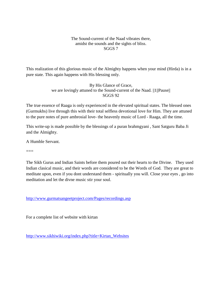### The Sound-current of the Naad vibrates there, amidst the sounds and the sights of bliss. SGGS 7

This realization of this glorious music of the Almighty happens when your mind (Hirda) is in a pure state. This again happens with His blessing only.

> By His Glance of Grace, we are lovingly attuned to the Sound-current of the Naad. ||1||Pause|| SGGS 92

The true essence of Raaga is only experienced in the elevated spiritual states. The blessed ones (Gurmukhs) live through this with their total selfless devotional love for Him. They are attuned to the pure notes of pure ambrosial love- the heavenly music of Lord - Raaga, all the time.

This write-up is made possible by the blessings of a puran brahmgyani , Sant Satguru Baba Ji and the Almighty.

A Humble Servant.

===

The Sikh Gurus and Indian Saints before them poured out their hearts to the Divine. They used Indian clasical music, and their words are considered to be the Words of God. They are great to meditate upon, even if you dont understand them - spiritually you will. Close your eyes , go into meditation and let the divne music stir your soul.

<http://www.gurmatsangeetproject.com/Pages/recordings.asp>

For a complete list of website with kirtan

[http://www.sikhiwiki.org/index.php?title=Kirtan\\_Websites](http://www.sikhiwiki.org/index.php?title=Kirtan_Websites)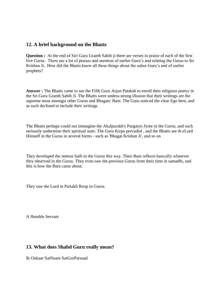# **12. A brief background on the Bhatts**

**Question :** At the end of Siri Guru Granth Sahib ji there are verses in praise of each of the first five Gurus. There are a lot of praises and mention of earlier Guru's and relating the Gurus to Sri Krishna Ji. How did the Bhatts know all these things about the ealier Guru's and of earlier prophets?

**Answer :** The Bhatts came to see the Fifth Guru Arjun Patshah to enroll their religious poetry in the Sri Guru Granth Sahib Ji. The Bhatts were undera strong illusion that their writings are the supreme most amongst other Gurus and Bhagats' Bani. The Guru noticed the clear Ego here, and as such declined to include their writings.

The Bhatts perhaps could not immagine the Akalpurakh's Pargatyo Jyote in the Gurus, and such seriously undermine their spiritual state. The Guru Kirpa pervailed , and the Bhatts see th eLord Himself in the Gurus in several forms - such as 'Bhagat Krishan Ji', and so on

They developed the utmost faith in the Gurus this way. Their Bani reflects basically whatever they observed in the Gurus. They even saw the previous Gurus from their time in samadhi, and this is how the Bani came about.

They saw the Lord in Partakh Roop in Gurus.

A Humble Servant

# **13. What does Shabd Guru really mean?**

Ik Onkaar SatNaam SatGurParsaad.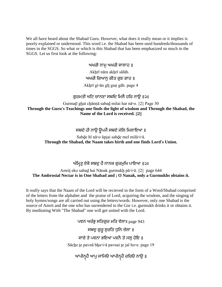We all have heard about the Shabad Guru. However, what does it really mean or it implies is poorly explained or understood. This word i.e. the Shabad has been used hundreds/thousands of times in the SGGS. So what or which is this Shabad that has been emphasized so much in the SGGS. Let us first look at the following:

> ਅਖਰੀ ਨਾਮ ਅਖਰੀ ਸਾਲਾਹ ॥ Akhrī nām akhrī sālāh. ਅਖਰੀ ਗਿਆਨ ਗੀਤ ਗਣ ਗਾਹ ॥ Akẖrī gi▫ān gīṯ guṇ gāh. page 4

# ਗਰਮਤੀ ਘਟਿ ਚਾਨਣਾ ਸਬਦਿ ਮਿਲੈ ਹਰਿ ਨਾੳ ॥੨॥

Gurmaṯī gẖat cẖānṇā sabaḏ milai har nā▫o. ||2|| Page 30 **Through the Guru's Teachings one finds the light of wisdom and Through the Shabad, the Name of the Lord is received. ||2||** 

# ਸਬਦੇ ਹੀ ਨਾੳ ੳਪਜੈ ਸਬਦੇ ਮੇਲਿ ਮਿਲਾਇਆ ॥

Sabḏe hī nā▫o ūpjai sabḏe mel milā▫i▫ā. **Through the Shabad, the Naam takes birth and one finds Lord's Union.** 

# ਅੰਮਿਤ ਏਕੋ ਸਬਦ ਹੈ ਨਾਨਕ ਗਰਮਖਿ ਪਾਇਆ ॥੨॥

Amriṯ eko sabaḏ hai Nānak gurmukẖ pā▫i▫ā. ||2|| page 644 **The Ambrosial Nectar is in One Shabad and ; O Nanak, only a Gurmukhs obtains it.**

It really says that the Naam of the Lord will be recieved in the form of a Word/Shabad comprised of the letters from the alphabet and the praise of Lord, acquiring the wisdom, and the singing of holy hymns/songs are all carried out using the letters/words. However, only one Shabad is the source of Amrit and the one who has surrendered to the Gur i.e. gurmukh drinks it or obtains it. By meditating With "The Shabad" one will get united with the Lord.

> ਪਵਨ ਅਰੰਭ ਸਤਿਗਰ ਮਤਿ ਵੇਲਾ॥  $page 943$ ਸਬਦੂ ਗੁਰੂ ਸੂਰਤਿ ਧੁਨਿ ਚੇਲਾ ॥ ਸਾਚੇ ਤੇ ਪਵਨਾ ਭਇਆ ਪਵਨੈ ਤੇ ਜਲ ਹੋਇ ॥ Sācẖe ṯe pavnā bẖa▫i▫ā pavnai ṯe jal ho▫e. page 19

ਆਪੀਨ੍ਹਹੈ ਆਪੁ ਸਾਜਿਓ ਆਪੀਨ੍ਹਹੈ ਰਚਿਓ ਨਾਉ ॥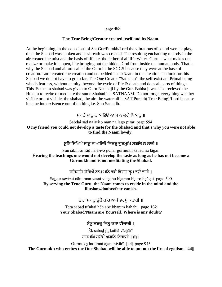#### page 463

#### **The True Being/Creator created itself and its Naam.**

At the beginning, in the conscious of Sat Gur/Purakh/Lord the vibrations of sound were at play, then the Shabad was spoken and air/breath was created. The resulting enchanting melody in the air created the mist and the basis of life i.e. the father of all life Water. Guru is what makes one realize or make it happen, like bringing out the hidden God from inside the human body. That is why the Shabad and air are called the Guru in the SGGS because they were at the base of creation. Lord created the creation and embedded itself/Naam in the creation. To look for this Shabad we do not have to go to far. The One Creator "Satnaam", the self-exist ant Primal being who is fearless, without enmity, beyond the cycle of life & death and does all sorts of things. This Satnaam shabad was given to Guru Nanak ji by the Gur. Babba ji was also recieved the Hukam to recite or meditate the same Shabad i.e. SATNAAM. Do not forget everything weather visible or not visible, the shabad, the air, the water all is SAT Purakh( True Being)/Lord because it came into existence out of nothing i.e. Sun Samadh.

ਸਬਦੈ ਸਾਦ ਨ ਆਇਓ ਨਾਮਿ ਨ ਲਗੋ ਪਿਆਰ ॥

Sabḏai sāḏ na ā▫i▫o nām na lago pi▫ār. page 594 **O my friend you could not develop a taste for the Shabad and that's why you were not able to find the Naam lovely.**

ਸਣਿ ਸਿਖਿਐ ਸਾਦ ਨ ਆਇਓ ਜਿਚਰ ਗਰਮਖਿ ਸਬਦਿ ਨ ਲਾਗੈ ॥

Suṇ sikhi□ai sād na ā□i□o jichar gurmukh sabad na lāgai. **Hearing the teachings one would not develop the taste as long as he has not become a Gurmukh and is not meditating the Shabad.** 

# ਸਤਿਗਰਿ ਸੇਵਿਐ ਨਾਮ ਮਨਿ ਵਸੈ ਵਿਚਹ ਭੁਮ ਭੳ ਭਾਗੈ ॥

Satgur sevi∘ai nām man vasai vicḫahu bḫaram bḫa∘o bḫāgai. page 590 **By serving the True Guru, the Naam comes to reside in the mind and the illusions/doubts/fear vanish.** 

ਤੇਰਾ ਸਬਦੂ ਤੁੰਹੈ ਹਹਿ ਆਪੇ ਭਰਮੂ ਕਹਾਹੀ ॥

Ŧerā sabaḏ ṯū'nhai hėh āpe bẖaram kahāhī. page 162 **Your Shabad/Naam are Yourself, Where is any doubt?** 

ਏਕ ਸਬਦ ਜਿਤ ਕਥਾ ਵੀਚਾਰੀ ॥

Ėk sabaḏ jiṯ kathā vīcẖārī. ਗਰਮਖਿ ਹੳਮੈ ਅਗਨਿ ਨਿਵਾਰੀ ॥४४॥

Gurmukẖ ha▫umai agan nivārī. ||44|| page 943 **The Gurmukh who recites the One Shabad will be able to put out the fire of egotism. ||44||**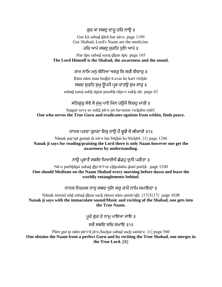# ਗੁਰ ਕਾ ਸਬਦੁ ਦਾਰੁ ਹਰਿ ਨਾਉ ॥

Gur kā sabaḏ ḏārū har nā▫o. page 1189 Gur Shabad, Lord's Naam are the medicine.

# ਹਰਿ ਆਪੇ ਸਬਦ ਸਰਤਿ ਧਨਿ ਆਪੇ ॥

Har āpe sabad surat dhun āpe. page 165 **The Lord Himself is the Shabad, the awareness and the sound.** 

## ਰਾਮ ਨਾਮਿ ਮਨ ਬੇਧਿਆ ਅਵਰ ਕਿ ਕਰੀ ਵੀਚਾਰ ॥

Rām nām man bedhi□ā avar kė karī vīchār. ਸਬਦ ਸੁਰਤਿ ਸੁਖ਼ੁ ਉਪਜੈ ਪ੍ਰਭ ਰਾਤਉ ਸੁਖ ਸਾਰੂ ॥

sabad surat sukh ūpjai parabh rāta $\circ$ o sukh sār. page 62

# ਸਤਿਗਰ ਸੇਵੇ ਸੋ ਸਖ ਪਾਏ ਜਿਨ ਹੳਮੈ ਵਿਚਹ ਮਾਰੀ ॥

Satgur seve so sukh pā∘e jin ha∘umai vichahu mārī. **One who serves the True Guru and eradicates egotism from within, finds peace.** 

ਨਾਨਕ ਪੜਣਾ ਗੁਨਣਾ ਇਕੁ ਨਾਉ ਹੈ ਬੂਝੈ ਕੋ ਬੀਚਾਰੀ ॥१॥

Nānak paŗ□ņā gunṇā ik nā□o hai būjhai ko bīchārī. ||1|| page 1246 **Nanak ji says for reading/praising the Lord there is only Naam however one get the awareness by understanding.** 

ਨਾੳ ਪਭਾਤੈ ਸਬਦਿ ਧਿਆਈਐ ਛੋਡਹ ਦਨੀ ਪਰੀਤਾ ॥

Nā▫o parbẖāṯai sabaḏ ḏẖi▫ā▫ī▫ai cẖẖodahu ḏunī parīṯā. page 1330 **One should Meditate on the Naam Shabad every morning before dawn and leave the worldly entanglements behind.** 

ਨਾਨਕ ਨਿਰਮਲ ਨਾਦ ਸਬਦ ਧਨਿ ਸਚ ਰਾਮੈ ਨਾਮਿ ਸਮਾਇਦਾ ॥

Nānak nirmal nāḏ sabaḏ ḏẖun sacẖ rāmai nām samā▫iḏā. ||17||5||17|| page 1038 **Nanak ji says with the immaculate sound/Music and reciting of the Shabad, one gets into the True Naam.** 

ਪਰੇ ਗਰ ਤੇ ਨਾਮ ਪਾਇਆ ਜਾਇ ॥

ਸਜੈ ਸਬਦਿ ਸਜਿ ਸਮਾਇ ॥੧॥

Pūre gur te nām pā□i□ā jā□e,Sachai sabad sach samā□e.  $||1||$  page 560 **One obtains the Naam from a perfect Guru and by reciting the True Shabad, one merges in the True Lord. ||1||**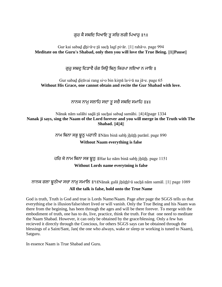ਗੁਰ ਕੈ ਸਬਦਿ ਧਿਆਇ ਤੁ ਸਚਿ ਲਗੀ ਪਿਆਰੁ ॥१॥

Gur kai sabaḏ ḏẖi▫ā▫e ṯū sacẖ lagī pi▫ār. ||1|| rahā▫o. page 994 **Meditate on the Guru's Shabad, only then you will love the True Being. ||1||Pause||**

ਗਰ ਸਬਦ ਦਿੜਾਵੈ ਰੰਗ ਸਿੳ ਬਿਨ ਕਿਰਪਾ ਲਇਆ ਨ ਜਾਇ ॥

Gur sabad dirāvai rang si∘o bin kirpā la∘i∘ā na jā∘e. page 65 **Without His Grace, one cannot obtain and recite the Gur Shabad with love.** 

ਨਾਨਕ ਨਾਮੁ ਸਲਾਹਿ ਸਦਾ ਤੁ ਸਚੈ ਸਬਦਿ ਸਮਾਹਿ ॥४॥

Nānak nām salāhi sadā tū sachai sabad samāhi. ||4||4||page 1334 **Nanak ji says, sing the Naam of the Lord forever and you will merge in the Truth with The Shabad. ||4||4||** 

> ਨਾਮ ਬਿਨਾ ਸਭੂ ਝੂਠੁ ਪਰਾਨੀ IINam bina sabh jhūth paranī. page 890 **Without Naam everything is false**

> ਹਰਿ ਕੇ ਨਾਮ ਬਿਨਾ ਸਭ ਝੁਠੁ IIHar ke nām binā sabh jhūth. page 1151 **Without Lords name everytning is false**

ਨਾਨਕ ਗਲਾ ਝੁਠੀਆ ਸਚਾ ਨਾਮੁ ਸਮਾਲਿ ॥ । INānak galā jhūthī<sup>□</sup>ā sachā nām samāl. || 1|| page 1089 **All the talk is false, hold onto the True Name**

God is truth, Truth is God and true is Lords Name/Naam. Page after page the SGGS tells us that everything else is illusion/false/short lived or will vanish. Only the True Being and his Naam was there from the begining, has been through the ages and will be there forever. To merge with the embodiment of truth, one has to do, live, practice, think the truth. For that one need to meditate the Naam Shabad. However, it can only be obtained by the grace/blessing. Only a few has recieved it directly through the Concious, for others SGGS says can be obtained through the blessings of a Saint/Sant, Jan( the one who always, wake or sleep or working is tuned to Naam), Satguru.

In essence Naam is True Shabad and Guru.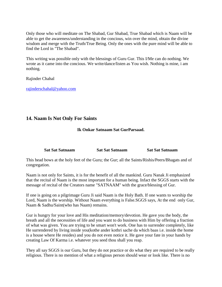Only those who will meditate on The Shabad, Gur Shabad, True Shabad which is Naam will be able to get the awareness/understanding in the concious, win over the mind, obtain the divine wisdom and merge with the Truth/True Being. Only the ones with the pure mind will be able to find the Lord in "The Shabad".

This writing was possible only with the blessings of Guru Gur. This I/Me can do nothing. We wrote as it came into the concious. We write/dance/listen as You wish. Nothing is mine, i am nothing.

Rajinder Chahal

[rajinderschahal@yahoo.com](mailto:rajinderschahal@yahoo.com)

# **14. Naam Is Not Only For Saints**

## **Ik Onkar Satnaam Sat GurParsaad.**

| <b>Sat Sat Satnaam</b> | <b>Sat Sat Sat naam</b> | <b>Sat Sat Sat naam</b> |
|------------------------|-------------------------|-------------------------|
|                        |                         |                         |

This head bows at the holy feet of the Guru; the Gur; all the Saints/Rishis/Peers/Bhagats and of congregation.

Naam is not only for Saints, it is for the benefit of all the mankind. Guru Nanak Ji emphasized that the recital of Naam is the most important for a human being. Infact the SGGS starts with the message of recital of the Creators name "SATNAAM" with the grace/blessing of Gur.

If one is going on a pilgrimage Guru Ji said Naam is the Holy Bath. If one wants to worship the Lord, Naam is the worship. Without Naam everything is False.SGGS says, At the end only Gur, Naam & Sadhu/Saint(who has Naam) remains.

Gur is hungry for your love and His meditation/memory/devotion. He gave you the body, the breath and all the necessities of life and you want to do business with Him by offering a fraction of what was given. You are trying to be smart won't work. One has to surrender completely, like He surrendered by living inside you(kothe ander kothri sache da which baas i.e. inside the home is a house where He resides) and you do not even notice it. He gave your fate in your hands by creating Law Of Karma i.e. whatever you seed thou shall you reap.

They all say SGGS is our Guru, but they do not practice or do what they are required to be really religious. There is no mention of what a religious person should wear or look like. There is no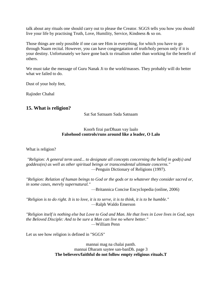talk about any rituals one should carry out to please the Creator. SGGS tells you how you should live your life by practising Truth, Love, Humility, Service, Kindness & so on.

Those things are only possible if one can see Him in everything, for which you have to go through Naam recital. However, you can have congregatation of truth/holy person only if it is your destiny. Unfortunately we have gone back to rirualism rather than working for the benefit of others.

We must take the message of Guru Nanak Ji to the world/masses. They probably will do better what we failed to do.

Dust of your holy feet,

Rajinder Chahal

# **15. What is religion?**

Sat Sat Satnaam Sada Satnaam

## Koorh firai parDhaan vay laalo **Falsehood controls/runs around like a leader, O Lalo**

What is religion?

*"Religion: A general term used... to designate all concepts concerning the belief in god(s) and goddess(es) as well as other spiritual beings or transcendental ultimate concerns."* —Penguin Dictionary of Religions (1997).

*"Religion: Relation of human beings to God or the gods or to whatever they consider sacred or, in some cases, merely supernatural."*

—Britannica Concise Encyclopedia (online, 2006)

*"Religion is to do right. It is to love, it is to serve, it is to think, it is to be humble."* —Ralph Waldo Emerson

*"Religion itself is nothing else but Love to God and Man. He that lives in Love lives in God, says the Beloved Disciple: And to be sure a Man can live no where better."* —William Penn

Let us see how religion is defined in "SGGS"

mannai mag na chalai panth. mannai Dharam saytee san-banDh. page 3 **The believers/faithful do not follow empty religious rituals.T**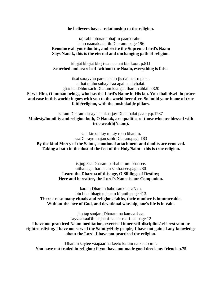#### **he believers have a relationship to the religion.**

taj sabh bharam bhaji-o paarbarahm. kaho naanak atal ih Dharam. page 196 **Renounce all your doubts, and recite the Supreme Lord's Naam Says Nanak, this is the eternal and unchanging path of religion.**

khojat khojat khoji-aa naamai bin koor. p.811 **Searched and searched- without the Naam, everything is false.**

tisai sarayvhu paraaneeho jis dai naa-o palai. aithai rahhu suhayli-aa agai naal chalai. ghar banDhhu sach Dharam kaa gad thamm ahlai.p.320 **Serve Him, O human beings, who has the Lord's Name in His lap. You shall dwell in peace and ease in this world; it goes with you to the world hereafter. So build your home of true faith/religion, with the unshakable pillars.**

saram Dharam du-ay naankaa jay Dhan palai paa-ay.p.1287 **Modesty/humility and religion both, O Nanak, are qualities of those who are blessed with true wealth(Naam).**

sant kirpaa tay mitay moh bharam. saaDh rayn majan sabh Dharam.page 183 **By the kind Mercy of the Saints, emotional attachment and doubts are removed. Taking a bath in the dust of the feet of the Holy/Saint - this is true religion.**

> is jug kaa Dharam parhahu tum bhaa-ee. aithai agai har naam sakhaa-ee.page 230 **Learn the Dharma of this age, O Siblings of Destiny; Here and hereafter, the Lord's Name is our Companion.**

karam Dharam baho sankh asaNkh. bin bhai bhagtee janam biranth.page 413 **There are so many rituals and religious faiths, their number is innumerable. Without the love of God, and devotional worship, one's life is in vain.**

jap tap sanjam Dharam na kamaa-i-aa.

sayvaa saaDh na jaani-aa har raa-i-aa. page 12 **I have not practiced Naam meditation, exercised inner self-discipline/self-restraint or righteousliving. I have not served the Saintly/Holy people; I have not gained any knowledge about the Lord. I have not practiced the religion.**

Dharam saytee vaapaar na keeto karam na keeto mit. **You have not traded in religion; if you have not made good deeds my friends.p.75**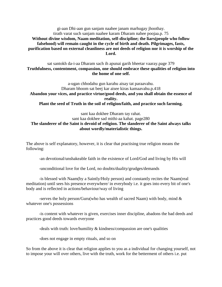gi-aan Dhi-aan gun sanjam naahee janam marhugay jhoothay. tirath varat such sanjam naahee karam Dharam nahee poojaa.p. 75 **Without divine wisdom, Naam meditation, self-discipline; the liars(people who follow falsehood) will remain caught in the cycle of birth and death. Pilgrimages, fasts, purification based on external cleanliness are not deeds of religion nor it is worship of the Lord.**

sat santokh da-i-aa Dharam sach ih apunai garih bheetar vaaray.page 379 **Truthfulness, contentment, compassion, one should embrace these qualities of religion into the home of one self.**

a-ugan chhodahu gun karahu aisay tat paraavahu. Dharam bhoom sat beej kar aisee kiras kamaavahu.p.418 **Abandon your vices, and practice virtue/good deeds, and you shall obtain the essence of reality. Plant the seed of Truth in the soil of religion/faith, and practice such farming.**

## sant kaa dokhee Dharam tay rahat. sant kaa dokhee sad mithi-aa kahat. page280 **The slanderer of the Saint is devoid of religion. The slanderer of the Saint always talks about wordly/materialistic things.**

The above is self explanatory, however, it is clear that practising true religion means the following:

-an devotional/unshakeable faith in the existence of Lord/God and living by His will

-unconditional love for the Lord, no doubts/duality/grudges/demands

-is blessed with Naam(by a Saintly/Holy person) and constantly recites the Naam(real meditation) until sees his presence everywhere/ in everybody i.e. it goes into every bit of one's body and is reflected in actions/behaviour/way of living

-serves the holy person/Guru(who has wealth of sacred Naam) with body, mind  $\&$ whatever one's possessions

-is content with whatever is given, exercises inner discipline, abadons the bad deeds and practices good deeds towards everyone

-deals with truth: love/humility & kindness/compassion are one's qualities

-does not engage in empty rituals, and so on

So from the above it is clear that religion applies to you as a individual for changing yourself, not to impose your will over others, live with the truth, work for the betterment of others i.e. put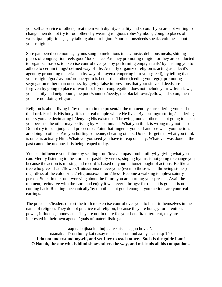yourself at service of others, treat them with dignity/equality and so on. If you are not willing to change then do not try to fool others by wearing religious robes/symbols, going to places of worship/on pilgrimages, by talking about religion. Your actions/deeds speaks volumes about your religion.

Sure pampered ceremonies, hymns sung to melodious tunes/music, delicious meals, shining places of congregation feels good/ looks nice. Are they promoting religion or they are conducted to organize masses, to exercise control over you by performing empty rituals/ by pushing you to adhere to certain things/ defined way of life. Actually organized religion is acting as a devil's agent by promoting materialism by way of prayers(tempering into your greed), by telling that your religion/god/saviour/prophet/guru is better than others(feeding your ego), promoting segregation rather than oneness, by giving false impressions that your sins/bad deeds are forgiven by going to place of worship. If your congregation does not include your wife/in-laws, your family and neighbours, the poor/shunned/needy, the black/brown/yellow,and so on, then you are not doing religion.

Religion is about living in/by the truth in the present/at the moment by surrendering yourself to the Lord. For it is His body. it is the real temple where He lives. By abusing/torturing/slandering others you are decimating it/denying His existence. Throwing mud at others is not going to clean you because the other may be living by His command. What you think is wrong may not be so. Do not try to be a judge and prosecutor. Point that finger at yourself and see what your actions are doing to others. Are you hurting someone, cheating others. Do not forget that what you think is other is actually Him. Whatever you seed you have to reap one day. Whatever was done in the past cannot be undone. It is being reaped today.

You can influence your future by seeding truth/love/compassion/humility/by giving what you can. Merely listening to the stories of past/holy verses, singing hymns is not going to change you because the action is missing and record is based on your actions/thought of actions. Be like a tree who gives shade/flowers/fruits/aroma to everyone (even to those when throwing stones) regardless of the colour/race/religion/sex/culture/dress. Become a walking temple/a saintly person. Stuck in the past, worrying about the future you are burning your present. Avail the moment, recite/live with the Lord and enjoy it whatever it brings; for once it is gone it is not coming back. Reciting mechanically/by mouth is not good enough, your actions are your real earrings.

The preachers/leaders distort the truth to exercise control over you, to benefit themselves in the name of religion. They do not practice real religion, because they are hungry for attention, power, influence, money etc. They are not in there for your benefit/betterment, they are interested in their own agenda/goals of materialistic gains.

aap na bujhaa lok bujhaa-ee aisaa aagoo hovaaN. naanak anDhaa ho-ay kai dasay raahai sabhas muhaa-ay saathai.p 140 **I do not understand myself, and yet I try to teach others. Such is the guide I am! O Nanak, the one who is blind shows others the way, and misleads all his companions.**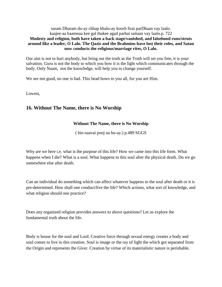### saram Dharam du-ay chhap khalo-ay koorh firai parDhaan vay laalo. kaajee-aa baamnaa kee gal thakee agad parhai saitaan vay laalo.p. 722 **Modesty and religion, both have taken a back stage/vanished, and falsehood runs/struts around like a leader, O Lalo. The Qazis and the Brahmins have lost their roles, and Satan now conducts the religious/marriage rites, O Lalo.**

Our aim is not to hurt anybody, but bring out the truth as the Truth will set you free, it is your salvation. Guru is not the body to which you bow it is the light which communicates through the body. Only Naam, not the knowledge, will help you to change yourself.

We are not good, no one is bad. This head bows to you all, for you are Him.

Lowest,

# **16. Without The Name, there is No Worship**

## **Without The Name, there is No Worship**

( bin naavai pooj na ho-ay.) p.489 SGGS

Why are we here i.e. what is the purpose of this life? How we came into this life form. What happens when I die? What is a soul. What happens to this soul after the physical death. Do we go somewhere else after death.

Can an individual do something which can affect whatever happens to the soul after death or it is pre-determined. How shall one conduct/live the life? Which actions, what sort of knowledge, and what religion should one practice?

Does any organized religion provides answers to above questions? Let us explore the fundamental truth about the life.

Body is house for the soul and Lord. Creative force through sexual energy creates a body and soul comes to live in this creation. Soul is image or the ray of light the which got separated from the Origin and represents the Giver. Creation by virtue of its materialistic nature is perishable.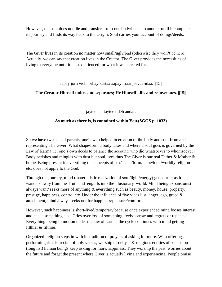However, the soul does not die and transfers from one body/house to another until it completes its journey and finds its way back to the Origin. Soul carries your account of doings/deeds.

The Giver lives in its creation no matter how small/ugly/bad (otherwise they won't be here). Actually we can say that creation lives in the Creator. The Giver provides the necessities of living to everyone until it has experienced for what it was created for.

aapay jorh vichhorhay kartaa aapay maar jeevaa-idaa. ||15||

## **The Creator Himself unites and separates; He Himself kills and rejuvenates. ||15||**

jaytee hai taytee tuDh andar.

## **As much as there is, is contained within You.(SGGS p. 1033)**

So we have two sets of parents, one's who helped in creation of the body and soul from and representing The Giver. What shape/form a body takes and where a soul goes is governed by the Law of Karma i.e. one's own deeds to balance the account( who did whatsoever to whomsoever). Body perishes and mingles with dust but soul lives thus The Giver is our real Father & Mother & home. Being present in everything the concepts of sex/shape/form/name/look/worldly religion etc. does not apply to the God.

Through the journey, mind (materialistic realization of soul/light/energy) gets dirtier as it wanders away from the Truth and engulfs into the illusionary world. Mind being expansionist always want/ seeks more of anything & everything such as beauty, money, house, property, prestige, happiness, control etc. Under the influence of five vices lust, anger, ego, greed  $\&$ attachment, mind always seeks out for happiness/pleasure/comfort.

However, such happiness is short-lived/temporary because once experienced mind looses interest and needs something else. Cries over loss of something, feels sorrow and regrets or repents. Everything being in motion under the law of karma, the cycle continues with mind getting filthier & filthier.

Organized religion steps in with its tradition of prayers of asking for more. With offerings, performing rituals, recital of holy verses, worship of deity's & religious entities of past so on -- (long list) human beings keep asking for more/happiness. They worship the past, worries about the future and forget the present where Giver is actually living and experiencing. People praise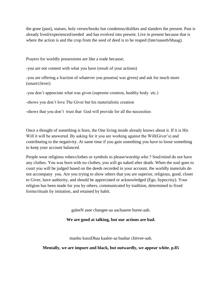the gone (past), statues, holy verses/books but condemns/dislikes and slanders the present. Past is already lived/experienced/seeded and has evolved into present. Live in present because that is where the action is and the crop from the seed of deed is to be reaped (fate/naseeb/bhaag).

Prayers for worldly possessions are like a trade because;

-you are not content with what you have (result of your actions)

-you are offering a fraction of whatever you possess( was given) and ask for much more (smart/clever)

-you don't appreciate what was given (supreme creation, healthy body etc.)

-shows you don't love The Giver but his materialistic creation

-shows that you don't trust that God will provide for all the necessities

Once a thought of something is born, the One living inside already knows about it. If it is His Will it will be answered. By asking for it you are working against the Will(Giver's) and contributing to the negativity. At same time if you gain something you have to loose something to keep your account balanced.

People wear religious robes/clothes or symbols to please/worship who ? Soul/mind do not have any clothes. You was born with no clothes, you will go naked after death. When the soul goes to court you will be judged based on the deeds recorded in your account, the worldly materials do not accompany you. Are you trying to show others that you are superior, religious, good, closer to Giver, have authority, and should be appreciated or acknowledged (Ego, hypocrisy). Your religion has been made for you by others, communicated by tradition, determined to fixed forms/rituals by imitation, and retained by habit.

galeeN asee changee-aa aachaaree buree-aah.

#### **We are good at talking, but our actions are bad.**

manhu kusuDhaa kaalee-aa baahar chitvee-aah.

**Mentally, we are impure and black, but outwardly, we appear white. p.85**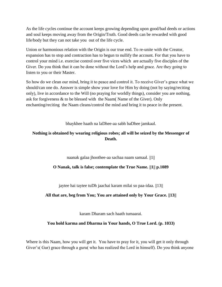As the life cycles continue the account keeps growing depending upon good/bad deeds or actions and soul keeps moving away from the Origin/Truth. Good deeds can be rewarded with good life/body but they can not take you out of the life cycle.

Union or harmonious relation with the Origin is our true end. To re-unite with the Creator, expansion has to stop and contraction has to begun to nullify the account. For that you have to control your mind i.e. exercise control over five vices which are actually five disciples of the Giver. Do you think that it can be done without the Lord's help and grace. Are they going to listen to you or their Master.

So how do we clean our mind, bring it to peace and control it. To receive Giver's grace what we should/can one do. Answer is simple show your love for Him by doing (not by saying/reciting only), live in accordance to the Will (no praying for worldly things), consider you are nothing, ask for forgiveness & to be blessed with the Naam( Name of the Giver). Only enchanting/reciting the Naam cleans/control the mind and bring it to peace in the present.

bhaykhee haath na laDhee-aa sabh baDhee jamkaal.

# **Nothing is obtained by wearing religious robes; all will be seized by the Messenger of Death.**

naanak galaa jhoothee-aa sachaa naam samaal. ||1||

## **O Nanak, talk is false; contemplate the True Name. ||1|| p.1089**

jaytee hai taytee tuDh jaachai karam milai so paa-idaa. ||13||

## **All that are, beg from You; You are attained only by Your Grace. ||13||**

karam Dharam sach haath tumaarai.

## **You hold karma and Dharma in Your hands, O True Lord. (p. 1033)**

Where is this Naam, how you will get it. You have to pray for it, you will get it only through Giver's( Gur) grace through a guru( who has realized the Lord in himself). Do you think anyone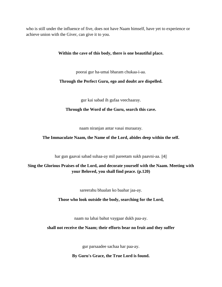who is still under the influence of five, does not have Naam himself, have yet to experience or achieve union with the Giver, can give it to you.

### **Within the cave of this body, there is one beautiful place.**

poorai gur ha-umai bharam chukaa-i-aa.

### **Through the Perfect Guru, ego and doubt are dispelled.**

gur kai sabad ih gufaa veechaaray.

#### **Through the Word of the Guru, search this cave.**

naam niranjan antar vasai muraaray.

### **The Immaculate Naam, the Name of the Lord, abides deep within the self.**

har gun gaavai sabad suhaa-ay mil pareetam sukh paavni-aa. ||4||

# **Sing the Glorious Praises of the Lord, and decorate yourself with the Naam. Meeting with your Beloved, you shall find peace. (p.120)**

sareerahu bhaalan ko baahar jaa-ay.

#### **Those who look outside the body, searching for the Lord,**

naam na lahai bahut vaygaar dukh paa-ay.

#### **shall not receive the Naam; their efforts bear no fruit and they suffer**

gur parsaadee sachaa har paa-ay.

#### **By Guru's Grace, the True Lord is found.**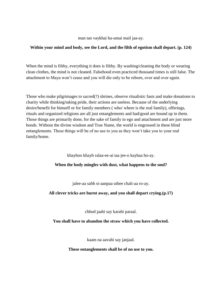man tan vaykhai ha-umai mail jaa-ay.

### **Within your mind and body, see the Lord, and the filth of egotism shall depart. (p. 124)**

When the mind is filthy, everything it does is filthy. By washing/cleaning the body or wearing clean clothes, the mind is not cleaned. Falsehood even practiced thousand times is still false. The attachment to Maya won't cease and you will die only to be reborn, over and over again.

Those who make pilgrimages to sacred(?) shrines, observe ritualistic fasts and make donations to charity while thinking/taking pride, their actions are useless. Because of the underlying desire/benefit for himself or for family members ( who/ where is the real family), offerings, rituals and organized religions are all just entanglements and bad/good are bound up in them. Those things are primarily done, for the sake of family in ego and attachment and are just more bonds. Without the divine wisdom and True Name, the world is engrossed in these blind entanglements. These things will be of no use to you as they won't take you to your real family/home.

khayhoo khayh ralaa-ee-ai taa jee-o kayhaa ho-ay.

## **When the body mingles with dust, what happens to the soul?**

jalee-aa sabh si-aanpaa uthee chali-aa ro-ay.

## **All clever tricks are burnt away, and you shall depart crying.(p.17)**

chhod jaahi say karahi paraal.

## **You shall have to abandon the straw which you have collected.**

kaam na aavahi say janjaal.

## **These entanglements shall be of no use to you.**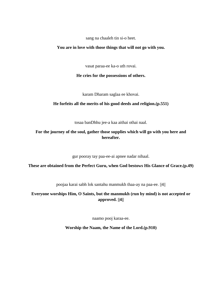sang na chaaleh tin si-o heet.

#### **You are in love with those things that will not go with you.**

vasat paraa-ee ka-o uth rovai.

### **He cries for the possessions of others.**

karam Dharam saglaa ee khovai.

## **He forfeits all the merits of his good deeds and religion.(p.551)**

tosaa banDhhu jee-a kaa aithai othai naal.

# **For the journey of the soul, gather those supplies which will go with you here and hereafter.**

gur pooray tay paa-ee-ai apnee nadar nihaal.

**These are obtained from the Perfect Guru, when God bestows His Glance of Grace.(p.49)**

poojaa karai sabh lok santahu manmukh thaa-ay na paa-ee. ||4||

**Everyone worships Him, O Saints, but the manmukh (run by mind) is not accepted or approved. ||4||**

naamo pooj karaa-ee.

**Worship the Naam, the Name of the Lord.(p.910)**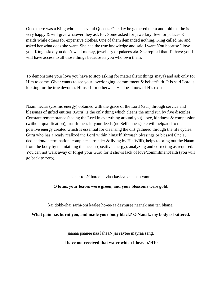Once there was a King who had several Queens. One day he gathered them and told that he is very happy  $\&$  will give whatever they ask for. Some asked for jewellary, few for palaces  $\&$ maids while others for expensive clothes. One of them demanded nothing. King called her and asked her what does she want. She had the true knowledge and said I want You because I love you. King asked you don't want money, jewellary or palaces etc. She replied that if I have you I will have access to all those things because its you who own them.

To demonstrate your love you have to stop asking for materialistic things(maya) and ask only for Him to come. Giver wants to see your love/longing, commitment & belief/faith. It is said Lord is looking for the true devotees Himself for otherwise He does know of His existence.

Naam nectar (cosmic energy) obtained with the grace of the Lord (Gur) through service and blessings of gifted entities (Guru) is the only thing which cleans the mind run by five disciples. Constant remembrance (seeing the Lord in everything around you), love, kindness & compassion (without qualification), truthfulness in your deeds (no Selfishness) etc will help/add to the positive energy created which is essential for cleansing the dirt gathered through the life cycles. Guru who has already realized the Lord within himself (through blessings or blessed One's, dedication/determination, complete surrender & living by His Will), helps to bring out the Naam from the body by maintaining the nectar (positive energy), analyzing and correcting as required. You can not walk away or forget your Guru for it shows lack of love/commitment/faith (you will go back to zero).

pabar tooN haree-aavlaa kavlaa kanchan vann.

#### **O lotus, your leaves were green, and your blossoms were gold.**

kai dokh-rhai sarhi-ohi kaalee ho-ee-aa dayhuree naanak mai tan bhang.

#### **What pain has burnt you, and made your body black? O Nanak, my body is battered.**

jaanaa paanee naa lahaaN jai saytee mayraa sang.

**I have not received that water which I love. p.1410**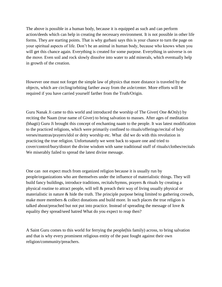The above is possible in a human body, because it is equipped as such and can perform action/deeds which can help in creating the necessary environment. It is not possible in other life forms. They are starting points. That is why gurbani says this is your chance to turn the page on your spiritual aspects of life. Don't be an animal in human body, because who knows when you will get this chance again. Everything is created for some purpose. Everything in universe is on the move. Even soil and rock slowly dissolve into water to add minerals, which eventually help in growth of the creation.

However one must not forget the simple law of physics that more distance is traveled by the objects, which are circling/orbiting farther away from the axle/center. More efforts will be required if you have carried yourself farther from the Truth/Origin.

Guru Nanak Ji came to this world and introduced the worship of The Giver( One &Only) by reciting the Naam (true name of Giver) to bring salvation to masses. After ages of meditation (bhagti) Guru Ji brought this concept of enchanting naam to the people. It was latest modification to the practiced religions, which were primarily confined to rituals/offerings/recital of holy verses/mantras/prayers/idol or deity worship etc. What did we do with this revolution in practicing the true religion. Unfortunately we went back to square one and tried to cover/control/bury/distort the divine wisdom with same traditional stuff of rituals/clothes/recitals We miserably failed to spread the latest divine message.

One can not expect much from organized religion because it is usually run by people/organizations who are themselves under the influence of materialistic things. They will build fancy buildings, introduce traditions, recitals/hymns, prayers & rituals by creating a physical routine to attract people, will tell & preach their way of living usually physical or materialistic in nature & hide the truth. The principle purpose being limited to gathering crowds, make more members & collect donations and build more. In such places the true religion is talked about/preached but not put into practice. Instead of spreading the message of love & equality they spread/seed hatred What do you expect to reap then?

A Saint Guru comes to this world for ferrying the people(his family) across, to bring salvation and that is why every prominent religious entity of the past fought against their own religion/community/preachers.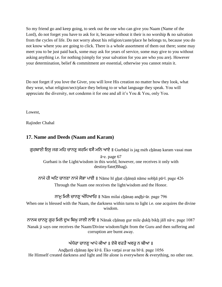So my friend go and keep going, to seek out the one who can give you Naam (Name of the Lord), do not forget you have to ask for it, because without it their is no worship  $\&$  no salvation from the cycles of life. Do not worry about his religion/caste/place he belongs to, because you do not know where you are going to click. There is a whole assortment of them out there; some may meet you to be just paid back, some may ask for years of service, some may give to you without asking anything i.e. for nothing (simply for your salvation for you are who you are). However your determination, belief & commitment are essential, otherwise you cannot retain it.

Do not forget if you love the Giver, you will love His creation no matter how they look, what they wear, what religion/sect/place they belong to or what language they speak. You will appreciate the diversity, not condemn it for one and all it's You & You, only You.

Lowest,

Rajinder Chahal

# **17. Name and Deeds (Naam and Karam)**

ਗੁਰਬਾਣੀ ਇਸ ਜਗ ਮਹਿ ਚਾਨਣੂ ਕਰਮਿ ਵਸੈ ਮਨਿ ਆਏ ॥ Gurbāṇī is jag meh chānaṇ karam vasai man

ā▫e. page 67 Gurbani is the Light/wisdom in this world, however, one receives it only with destiny/fate(Bhag).

ਨਾਮੇ ਹੀ ਘਟਿ ਚਾਨਣਾ ਨਾਮੇ ਸੋਭਾ ਪਾਈ || Nāme hī ghat chānnā nāme sobhā pā॰ī. page 426 Through the Naam one receives the light/wisdom and the Honor.

ਨਾਮੂ ਮਿਲੈ ਚਾਨਣੂ ਅੰਧਿਆਰਿ ॥ Nām milai chānaṇ andhi□ār. page 796

When one is blessed with the Naam, the darkness within turns to light i.e. one acquires the divine wisdom.

ਨਾਨਕ ਚਾਨਣੂ ਗੁਰ ਮਿਲੇ ਦੁਖ ਬਿਖੁ ਜਾਲੀ ਨਾਇ || Nānak chanan gur mile dukh bikh jalī nā॰e. page 1087 Nanak ji says one receives the Naam/Divine wisdom/light from the Guru and then suffering and corruption are burnt away.

<u>ਅੰਧੇਰਾ ਚਾਨਣ ਆਪੇ ਕੀਆ ॥ ਏਕੋ ਵਰਤੈ ਅਵਰ ਨ ਬੀਆ ॥</u>

Andherā chānan āpe kī∘ā. Ėko vartai avar na bī∘ā. page 1056 He Himself created darkness and light and He alone is everywhere & everything, no other one.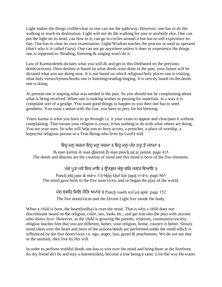Light makes the things visible/clear so one can see the path/way. However, one has to do the walking to reach its destination. Light will not do the walking for you or anybody else. One can put the light on its head, can bow to it, can go in circles around it but has to still experience its fate. One has to clear its own examination. Light/Wisdom teaches the process or mod us operand (that's why it is called Guru). One can not go anywhere unless it does or experience the things one is supposed to. Reading, listening & singing won't do it.

Law of Karma/deeds dictates what you will do and get in this life(based on the previous deeds/actions). Ones destiny is based on what deeds were done in the past, your future will be dictated what you are doing now. It is not based on which religious/holy places one is visiting, what holy verses/hymns/books one is listening/reading/singing. It is strictly based on the deeds one is doing.

At present one is reaping what was seeded in the past. So you should not be complaining about what is being received. When one is making wishes or praying for materials, in a way it is complaint sort of a grudge. You want good things to happen to you then one has to seed goodness. You want a union with the Gur, you have to prey for his blessing.

Yours karma is what you have to go through i.e. it your exam to appear and clear/pass it without complaining. That means your religion is yours, it has nothing to do with what others are doing. You are your own. So who will help you to ferry across, a preacher, a place of worship, a hypocrite religious person or a True Being who lives by Lord's will.

# ਇਹ ਮਨ ਕਰਮਾ ਇਹ ਮਨ ਧਰਮਾ ॥ ਇਹ ਮਨ ਪੰਚ ਤਤ ਤੇ ਜਨਮਾ ॥

Ih man karmā ih man dharmā. Ih man panch tat te janmā, page 415 The deeds and dharma are the creation of mind and this mind is born of the five elements.

# ਪੰਚ ਪੁਤ ਜਣੇ ਇਕ ਮਾਇ ॥ ਉਤਭੁਜ ਖੇਲੂ ਕਰਿ ਜਗਤ ਵਿਆਇ ॥

Panch pūt jane ik mā∘e. Ut∘bhuj khel kar jagat vi∘ā∘e. page 865 The mind gave birth to the five sons/vices, and so began the play of the world.

ਪੰਚ ਵਸਹਿ ਮਿਲਿ ਜੋਤਿ ਅਪਾਰ || Panch vasėh mil jot apār. page 152

The five doots/vices and the Divine Light live inside the body.

When a child is born, the heart(hirdha) is over the mind. That is why a child does not discriminate based on the religion, color, sex, looks etc., and get lost into the play with anyone who shows love. However, as the child is growing the parents, relatives, community/society, religion teaches him that you are different, better, your religion, home, country is better. Slowly mind takes over the heart and most of the actions/deeds are performed under the mind which is influenced by the five doots/vices i.e. ego, anger, lust, greed  $\&$  attachments. We do not see that in the animals, they live by His will.

In order to perform truthful deeds one has to win over the mind and bring heart at the forefront. So my friend do't be and stay a learner(sikh), become a true being/a saint. Live the way He wants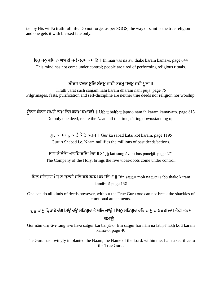i.e. by His will/a truth full life. Do not forget as per SGGS, the way of saint is the true religion and one gets it with blessed fate only.

ਇਹ ਮਨ ਵਸਿ ਨ ਆਵਈ ਥਕੇ ਕਰਮ ਕਮਾਇ || Ih man vas na āvī thake karam kamā॰e. page 644 This mind has not come under control; people are tired of performing religious rituals.

# ਤੀਰਥ ਵਰਤ ਸੂਚਿ ਸੰਜਮੂ ਨਾਹੀ ਕਰਮੂ ਧਰਮੂ ਨਹੀ ਪੂਜਾ ॥

Ŧirath varaṯ sucẖ sanjam nāhī karam ḏẖaram nahī pūjā. page 75 Pilgrimages, fasts, purification and self-discipline are neither true deeds nor religion nor worship.

ਉਠਤ ਬੈਠਤ ਜਪਉ ਨਾਮ ਇਹ ਕਰਮ ਕਮਾਵੳ || Ūthat baithat japa□o nām ih karam kamāva□o. page 813 Do only one deed, recite the Naam all the time, sitting down/standing up.

> ਗਰ ਕਾ ਸਬਦ ਕਾਟੈ ਕੋਟਿ ਕਰਮ || Gur kā sabad kātai kot karam. page 1195 Guru's Shabad i.e. Naam nullifies the millions of past deeds/actions.

ਸਾਧ ਕੈ ਸੰਗਿ ਆਵਹਿ ਬਸਿ ਪੰਚਾ ॥ Sādh kai sang āvahi bas panchā. page 271 The Company of the Holy, brings the five vices/doots come under control.

ਬਿਨ ਸਤਿਗਰ ਮੋਹ ਨ ਤੁਟਈ ਸਭਿ ਥਕੇ ਕਰਮ ਕਮਾਇਆ ॥ Bin satgur moh na tut¤ī sabh thake karam kamā▫i▫ā page 138

One can do all kinds of deeds,however, without the True Guru one can not break the shackles of emotional attachments.

ਗੁਰੁ ਨਾਮੁ ਦ੍ਰਿੜਾਏ ਰੰਗ ਸਿਉ ਹਉ ਸਤਿਗੁਰ ਕੈ ਬਲਿ ਜਾਉ ॥ਬਿਨੁ ਸਤਿਗੁਰ ਹਰਿ ਨਾਮੁ ਨ ਲਭਈ ਲਖ ਕੋਟੀ ਕਰਮ ਕਮਾੳ ॥

Gur nām driŗ∘ā∘e rang si∘o ha∘o satgur kai bal jā∘o. Bin satgur har nām na labh∘ī lakh kotī karam kamā▫o. page 40

The Guru has lovingly implanted the Naam, the Name of the Lord, within me; I am a sacrifice to the True Guru.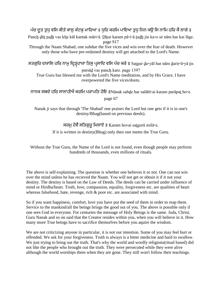# ਪੰਚ ਦਤ ਤਧ ਵਸਿ ਕੀਤੇ ਕਾਲ ਕੰਟਕ ਮਾਰਿਆ ॥ ਧਰਿ ਕਰਮਿ ਪਾਇਆ ਤਧ ਜਿਨ ਕੳ ਸਿ ਨਾਮਿ ਹਰਿ ਕੈ ਲਾਗੇ ॥

Panch dūt tudh vas kīte kāl kantak māri∘ā. Dhur karam pā∘i∘ā tudh jin ka∘o sė nām har kai lāge. page 917

Through the Naam Shabad, one subdue the five vices and win over the fear of death. However only those who have pre-ordained destiny will get attached to the Lord's Name.

ਸਤਗੁਰਿ ਦਯਾਲਿ ਹਰਿ ਨਾਮੁ ਦ੍ਰਿੜ੍ਹਹਾਯਾ ਤਿਸੁ ਪ੍ਰਸਾਦਿ ਵਸਿ ਪੰਚ ਕਰੇ ॥ Satgur dੁa॰yāl har nām dੁariŗ॰ā॰yā tis

parsāḏ vas pancẖ kare. page 1397 True Guru has blessed me with the Lord's Name meditation, and by His Grace, I have overpowered the five vices/doots.

ਨਾਨਕ ਸਬਦੇ ਹਰਿ ਸਾਲਾਹੀਐ ਕਰਮਿ ਪਰਾਪਤਿ ਹੋਇ ॥Nānak sabde har salāhī॰ai karam parāpat ho॰e.

page 67

Nanak ji says that through 'The Shabad' one praises the Lord but one gets if it is in one's destiny/Bhag(based on previous deeds).

ਕਰਮੂ ਹੋਵੈ ਸਤਿਗੁਰੂ ਮਿਲਾਏ ॥ Karam hovai satgurū milā∘e.

If it is written in destiny(Bhag) only then one meets the True Guru.

Without the True Guru, the Name of the Lord is not found, even though people may perform hundreds of thousands, even millions of rituals.

The above is self-explaining. The question is whether one believes it or not. One can not win over the mind unless he has recieved the Naam. You will not get or obtain it if it not your destiny. The destiny is based on the Law of Deeds. The deeds can be carried under influence of mind or Hirdha/heart. Truth, love, compassion, equality, forgiveness etc. are qualities of heart whereas falsehood, hate, revenge, rich & poor etc. are associated with mind.

So if you want happiness, comfort, love you have put the seed of them in order to reap them. Service to the mankind/all the beings brings the good out of you. The above is possible only if one sees God in everyone. For centuries the message of Holy Beings is the same. Juda, Christ, Guru Nanak and so on said that the Creator resides within you, when you will believe in it. How many more True beings have to sacrifice themselves before you aquire the wisdom.

We are not criticizing anyone in particular, it is not our intention. Some of you may feel hurt or offended. We ask for your forgiveness. Truth is always is a bitter medicine and hard to swallow. We just trying to bring out the truth. That's why the world and wordly religions(ritual based) did not like the people who brought out the truth. They were persecuted while they were alive although the world worships them when they are gone. They still won't follow their teachings.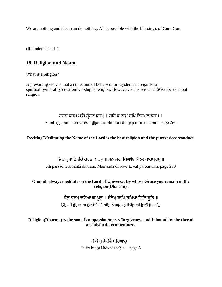We are nothing and this i can do nothing. All is possible with the blessing's of Guru Gur.

(Rajinder chahal )

# **18. Religion and Naam**

What is a religion?

A prevailing view is that a collection of belief/culture systems in regards to spirituality/morality/creation/worship is religion. However, let us see what SGGS says about religion.

# ਸਰਬ ਧਰਮ ਮਹਿ ਸੇਸਟ ਧਰਮੁ॥ ਹਰਿ ਕੋ ਨਾਮੁ ਜਪਿ ਨਿਰਮਲ ਕਰਮੁ॥

Sarab ḏẖaram mėh saresat ḏẖaram. Har ko nām jap nirmal karam. page 266

## **Reciting/Meditating the Name of the Lord is the best religion and the purest deed/conduct.**

ਜਿਹ ਪਸਾਦਿ ਤੇਰੋ ਰਹਤਾ ਧਰਮ ॥ ਮਨ ਸਦਾ ਧਿਆਇ ਕੇਵਲ ਪਾਰਬਹਮ ॥ Jih parsāḏ ṯero rahṯā ḏẖaram. Man saḏā ḏẖi▫ā▫e keval pārbarahm. page 270

## **O mind, always meditate on the Lord of Universe, By whose Grace you remain in the religion(Dharam).**

# ਧੌਲ ਧਰਮ ਦਇਆ ਕਾ ਪਤੁ ॥ ਸੰਤੋਖ ਥਾਪਿ ਰਖਿਆ ਜਿਨਿ ਸੁਤਿ ॥

Ḏẖoul ḏẖaram ḏa▫i▫ā kā pūṯ. Sanṯokẖ thāp rakẖi▫ā jin sūṯ.

## **Religion(Dharma) is the son of compassion/mercy/forgiveness and is bound by the thread of satisfaction/contentness.**

# ਜੇ ਕੋ ਬਝੈ ਹੋਵੈ ਸਚਿਆਰ ॥

Je ko bujhai hovai sachiār. page 3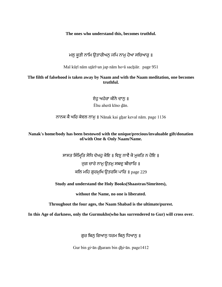**The ones who understand this, becomes truthful.**

ਮਲ ਕੁੜੀ ਨਾਮਿ ਉਤਾਰੀਅਨ ਜਪਿ ਨਾਮੂ ਹੋਆ ਸਚਿਆਰੂ ॥

Mal kūrī nām utārī an jap nām ho ā sachiār. page 951

**The filth of falsehood is taken away by Naam and with the Naam meditation, one becomes truthful.**

> ਏਹ ਅਹੇਰਾ ਕੀਨੋ ਦਾਨ ॥ Ėhu aherā kīno ḏān.

ਨਾਨਕ ਕੈ ਘਰਿ ਕੇਵਲ ਨਾਮੁ ॥ Nānak kai ghar keval nām. page 1136

**Nanak's home/body has been bestowed with the unique/precious/invaluable gift/donation of/with One & Only Naam/Name.**

> ਸਾਸਤ ਸਿੰਮਿਤਿ ਸੋਧਿ ਦੇਖਹੁ ਕੋਇ ॥ ਵਿਣੁ ਨਾਵੈ ਕੋ ਮੁਕਤਿ ਨ ਹੋਇ ॥ ਜਗ ਚਾਰੇ ਨਾਮ ੳਤਮ ਸਬਦ ਬੀਚਾਰਿ ॥ ਕਲਿ ਮਹਿ ਗਰਮਖਿ ੳਤਰਸਿ ਪਾਰਿ ॥  $page 229$

**Study and understand the Holy Books(Shaastras/Simritees),** 

**without the Name, no one is liberated.** 

**Throughout the four ages, the Naam Shabad is the ultimate/purest.** 

**In this Age of darkness, only the Gurmukhs(who has surrendered to Gur) will cross over.**

ਗੁਰ ਬਿਨ ਗਿਆਨ ਧਰਮ ਬਿਨ ਧਿਆਨ ॥

Gur bin gi∘ān dharam bin dhi∘ān. page1412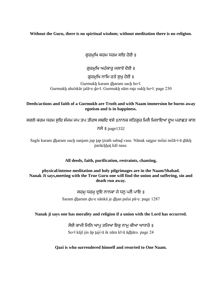## **Without the Guru, there is no spiritual wisdom; without meditation there is no religion.**

ਗਰਮਖਿ ਕਰਮ ਧਰਮ ਸਚਿ ਹੋਈ ॥

ਗਰਮਖਿ ਅਹੰਕਾਰ ਜਲਾਏ ਦੋਈ ॥

ਗਰਮਖਿ ਨਾਮਿ ਰਤੇ ਸਖ ਹੋਈ ॥

Gurmukh karam dharam sach ho<sup>®</sup>ī. Gurmukh aha'nkār jalā∘e do∘ī. Gurmukh nām rate sukh ho∘ī. page 230

**Deeds/actions and faith of a Gurmukh are Truth and with Naam immersion he burns away egotism and is in happiness.**

ਸਗਲੇ ਕਰਮ ਧਰਮ ਸੁਚਿ ਸੰਜਮ ਜਪ ਤਪ ਤੀਰਥ ਸਬਦਿ ਵਸੇ ॥ਨਾਨਕ ਸਤਿਗੁਰ ਮਿਲੈ ਮਿਲਾਇਆ ਦੁਖ ਪਰਾਛਤ ਕਾਲ

॥ page1332

Sagle karam dharam such sanjam jap tap tirath sabad vase. Nānak satgur milai milā∘i∘ā dūkh parāchhat kāl nase.

**All deeds, faith, purification, restraints, chanting,** 

**physical/intense meditation and holy pilgrimages are in the Naam/Shabad. Nanak Ji says,meeting with the True Guru one will find the union and suffering, sin and death run away.**

> ਸਰਮ ਧਰਮ ਦਇ ਨਾਨਕਾ ਜੇ ਧਨ ਪਲੈ ਪਾਇ ॥ Saram ḏẖaram ḏu▫e nānkā je ḏẖan palai pā▫e. page 1287

**Nanak ji says one has morality and religion if a union with the Lord has occurred.**

ਸੋਈ ਕਾਜੀ ਜਿਨਿ ਆਪ ਤਜਿਆ ਇਕ ਨਾਮ ਕੀਆ ਆਧਾਰੋ ॥ So∘ī kājī jin āp taji∘ā ik nām kī∘ā ādhāro. page 24

**Qazi is who surrendered himself and resorted to One Naam.**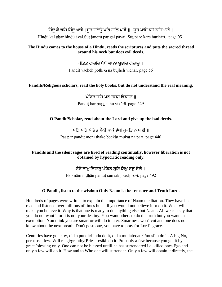# ਹਿੰਦੂ ਕੈ ਘਰਿ ਹਿੰਦੂ ਆਵੈ ॥ਸੂਤੂ ਜਨੇਊ ਪੜਿ ਗਲਿ ਪਾਵੈ ॥ ਸੂਤੂ ਪਾਇ ਕਰੇ ਬੁਰਿਆਈ ॥

Hinḏū kai gẖar hinḏū āvai.Sūṯ jane▫ū paṛ gal pāvai. Sūṯ pā▫e kare buri▫ā▫ī. page 951

## **The Hindu comes to the house of a Hindu, reads the scriptures and puts the sacred thread around his neck but does evil deeds.**

ਪੰਡਿਤ ਵਾਚਹਿ ਪੋਥੀਆ ਨਾ ਬੁਝਹਿ ਵੀਚਾਰੁ ॥ Pandit vāchėh pothī∘ā nā būjhėh vīchār. page 56

## **Pandits/Religious scholars, read the holy books, but do not understand the real meaning.**

ਪੰਡਿਤ ਹਰਿ ਪੜ ਤਜਹ ਵਿਕਾਰਾ ॥ Pandit har par tajahu vikārā. page 229

## **O Pandit/Scholar, read about the Lord and give up the bad deeds.**

# ਪਤਿ ਪਤਿ ਪੰਡਿਤ ਮੋਨੀ ਥਾਕੇ ਭੇਖੀ ਮਕਤਿ ਨ ਪਾਈ ॥

Paŗ paŗ pandit monī thāke bḫekḫī mukat na pā∘ī. page 440

## **Pandits and the silent sages are tired of reading continually, however liberation is not obtained by hypocritic reading only.**

# ਏਕੋ ਨਾਮ ਨਿਧਾਨ ਪੰਡਿਤ ਸਣਿ ਸਿਖ ਸਚ ਸੋਈ ॥

Ėko nām nidhān pandit sun sikh sach so□ī. page 492

# **O Pandit, listen to the wisdom Only Naam is the treasure and Truth Lord.**

Hundreds of pages were written to explain the importance of Naam meditation. They have been read and listened over millions of times but still you would not believe it or do it. What will make you believe it. Why is that one is ready to do anything else but Naam. All we can say that you do not want it or it is not your destiny. You want others to do the truth but you want an exemption. You think you are smart or will do it later. Smartness won't cut and one does not know about the next breath. Don't postpone, you have to pray for Lord's grace.

Centuries have gone by, did a pundit/hindu do it, did a mullah/qauzi/muslim do it. A big No, perhaps a few. Will raagi/granthy(Priests)/sikh do it. Probably a few because you get it by grace/blessing only. One can not be blessed untill he has surrendered i.e. killed ones Ego and only a few will do it. How and to Who one will surrender. Only a few will obtain it directly, the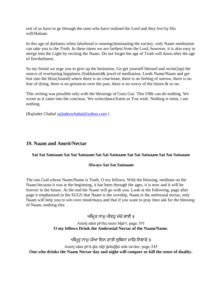rest of us have to go through the ones who have realised the Lord and they live by His will/Hukam.

In this age of darkness when falsehood is running/dominating the society, only Naam meditation can take you to the Truth. In these times we are farthest from the Lord, however, it is also easy to merge into the Light by reciting the Naam. Do not forget the age of Truth will dawn after the age of fire/darkness.

So my friend we urge you to give up the hesitation. Go get yourself blessed and recite(Jap) the source of everlasting happiness (Sukhmani)& jewel of meditation, Lords Name/Naam and get lost into the bliss(Anand) where there is no i/me/mine, there is no feeling of sorrow, there is no fear of dying, there is no grieances over the past, there is no worry of the future & so on.

This writing was possible only with the blessings of Guru Gur. This I/Me can do nothing. We wrote as it came into the concious. We write/dance/listen as You wish. Nothing is mine, i am nothing.

(Rajinder Chahal [rajinderschahal@yahoo.com](mailto:rajinderschahal@yahoo.com) )

# **19. Naam and Amrit/Nectar**

## **Sat Sat Satnaam Sat Sat Satnaam Sat Sat Satnaam Sat Sat Satnaam Sat Sat Satnaam**

#### **Always Sat Sat Satnaam**

The one God whose Naam/Name is Truth. O my fellows, With the blessing, meditate on the Naam because it was at the beginning, it has been through the ages, it is now and it will be forever in the future. At the end the Naam will go with you. Look at the following, page after page it emphasized in the SGGS that Naam is the worship, Naam is the ambrosial nectar, only Naam will help you to win over mind/maya and that if you want to pray then ask for the blessing of Naam, nothing else.

# ਅੰਮ੍ਰਿਤ ਨਾਮੂ ਪੀਵਹੂ ਮੇਰੇ ਭਾਈ ॥

### Amrit nām pīvhu mere bhā∘ī. page 191 **O my fellows Drink the Ambrosial Nectar of the Naam/Name.**

# ਅੰਮਿਤ ਨਾਮ ਪੀਆ ਦਿਨ ਰਾਤੀ ਦਬਿਧਾ ਮਾਰਿ ਨਿਵਾਰੇ ॥

Amriṯ nām pī▫ā ḏin rāṯī ḏubiḏẖā mār nivāre. page 245 **One who drinks the Naam Nectar day and night will conquer or kill the sense of duality.**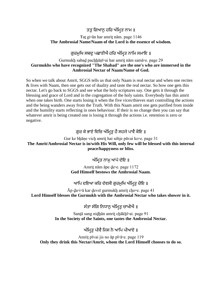## ਤਤ ਗਿਆਨ ਹਰਿ ਅੰਮਿਤ ਨਾਮ ॥

#### Ŧaṯ gi▫ān har amriṯ nām. page 1146 **The Ambrosial Name/Naam of the Lord is the essence of wisdom.**

#### ਗਰਮਖਿ ਸਬਦ ਪਛਾਣੀਐ ਹਰਿ ਅੰਮਿਤ ਨਾਮਿ ਸਮਾਇ ॥

#### Gurmukẖ sabaḏ pacẖẖāṇī▫ai har amriṯ nām samā▫e. page 29 **Gurmukhs who have recognized "The Shabad" are the one's who are immersed in the Ambrosial Nectar of Naam/Name of God.**

So when we talk about Amrit, SGGS tells us that only Naam is real nectar and when one recites & lives with Naam, then one gets out of duality and taste the real nectar. So how one gets this nectar. Let's go back to SGGS and see what the holy scriptures say. One gets it through the blessing and grace of Lord and in the cogregation of the holy saints. Everybody has this amrit when one takes birth. One starts losing it when the five vices/thieves start controlling the actions and the being wanders away from the Truth. With this Naam amrit one gets purified from inside and the humility starts reflecting in ones behaviour. If their is no change then you can say that whatever amrit is being created one is losing it through the actions i.e. retention is zero or negative.

## ਗਰ ਕੇ ਭਾਣੇ ਵਿਚਿ ਅੰਮਿਤ ਹੈ ਸਹਜੇ ਪਾਵੈ ਕੋਇ ॥

Gur ke bẖāṇe vicẖ amriṯ hai sėhje pāvai ko▫e. page 31 **The Amrit/Ambrosial Nectar is in/with His Will, only few will be blessed with this internal peace/happyness or bliss.**

ਅੰਮਿਤ ਨਾਮ ਆਪੇ ਦੇਇ ॥

Amriṯ nām āpe ḏe▫e. page 1172 **God Himself bestows the Ambrosial Naam.**

ਆਪਿ ਦਇਆ ਕਰਿ ਦੇਵਸੀ ਗੁਰਮੁਖਿ ਅੰਮਿਤ ਚੋਇ ॥

Āp ḏa▫i▫ā kar ḏevsī gurmukẖ amriṯ cẖo▫e. page 41 **Lord Himself blesses the Gurmukh with the Ambrosial Nectar who takes shower in it.**

ਸੰਤਾ ਸੰਗਿ ਨਿਧਾਨ ਅੰਮਿਤ ਚਾਖੀਐ ॥

Santā sang nidhān amrit chākhī□ai. page 91 **In the Society of the Saints, one tastes the Ambrosial Nectar.**

ਅੰਮਿਤ ਪੀਵੈ ਜਿਸ ਨੋ ਆਪਿ ਪੀਆਏ ॥

Amriṯ pīvai jis no āp pī▫ā▫e. page 119 **Only they drink this Nectar/Amrit, whom the Lord Himself chooses to do so.**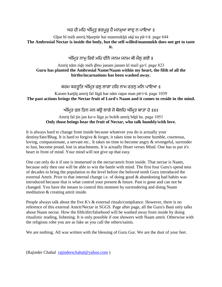## ਘਰ ਹੀ ਮਹਿ ਅੰਮਿਤ ਭਰਪਰ ਹੈ ਮਨਮਖਾ ਸਾਦ ਨ ਪਾਇਆ ॥

Ghar hī mėh amrit bharpūr hai manmukhā sād na pā□i□ā. page 644 **The Ambrosial Nectar is inside the body, but the self-willed/manmukh does not get to taste it.**

ਅੰਮਿਤ ਨਾਮ ਰਿਦੇ ਮਹਿ ਦੀਨੋ ਜਨਮ ਜਨਮ ਕੀ ਮੈਲ ਗਈ ॥

#### Amriṯ nām riḏe mėh ḏīno janam janam kī mail ga▫ī. page 823 **Guru has planted the Ambrosial Name/Naam within my heart, the filth of all the births/incarnations has been washed away.**

## ਕਰਮ ਕਰਤੂਤਿ ਅੰਮ੍ਰਿਤ ਫਲੁ ਲਾਗਾ ਹਰਿ ਨਾਮ ਰਤਨੁ ਮਨਿ ਪਾਇਆ ॥

Karam karṯūṯ amriṯ fal lāgā har nām raṯan man pā▫i▫ā. page 1039 **The past actions brings the Nectar fruit of Lord's Naam and it comes to reside in the mind.**

<u>ਅੰਮਿਤ ਫਲ ਤਿਨ ਜਨ ਕੳ ਲਾਗੇ ਜੋ ਬੋਲਹਿ ਅੰਮਿਤ ਬਾਤਾ ਹੇ ॥४॥</u>

#### Amriṯ fal ṯin jan ka▫o lāge jo bolėh amriṯ bāṯā he. page 1051 **Only those beings bear the fruit of Nectar, who talk humbly/with love.**

It is always hard to change from inside because whatever you do is actually your destiny/fate/Bhag. It is hard to forgive & forget, it takes time to become humble, courteous, loving, compassionate, a servant etc.. It takes no time to become angry & revengeful, surrender to lust, become proud, lost in attachments. It is actually Heart verses Mind. One has to put it's heart in front of mind. Your mind will not give up that easy.

One can only do it if one is immersed in the nectar/amrit from inside. That nectar is Naam, because only then one will be able to win the battle with mind. The first four Guru's spend tens of decades to bring the population to the level before the beloved tenth Guru introduced the external Amrit. Prior to that internal change i.e. of doing good & abandoning bad habits was introduced because that is what control your present & future. Past is gone and can not be changed. You have the means to control this moment by surrendering and doing Naam meditation & creating amrit inside.

People always talk about the five K's & external rituals/compliance. However, there is no reference of this external Amrit/Nectar in SGGS. Page after page, all the Guru's Bani only talks about Naam nectar. How the filth/dirt/falsehood will be washed away from inside by doing ritualistic reading, lishening. It is only possible if one showers with Naam amrit. Otherwise with the religious robe you are as fake as you call the others/saints.

We are nothing. All was written with the blessing of Guru Gur. We are the dust of your feet.

(Rajinder Chahal [rajinderschahal@yahoo.com](mailto:rajinderschahal@yahoo.com) )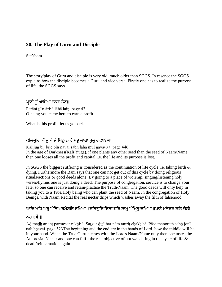## **20. The Play of Guru and Disciple**

SatNaam

The story/play of Guru and disciple is very old, much older than SGGS. In essence the SGGS explains how the disciple becomes a Guru and vice versa. Firstly one has to realize the purpose of life, the SGGS says

ਪ੍ਰਾਣੀ ਤੁੰ ਆਇਆ ਲਾਹਾ ਲੈਣ॥

Parāṇī ṯū'n ā▫i▫ā lāhā laiṇ. page 43 O being you came here to earn a profit.

What is this profit, let us go back

#### ਕਲਿਜੁਗਿ ਬੀਜੁ ਬੀਜੇ ਬਿਨੁ ਨਾਵੈ ਸਭੁ ਲਾਹਾ ਮੁਲੁ ਗਵਾਇਆ ॥

Kalijug bīj bīje bin nāvai sabh lāhā mūl gavā□i□ā. page 446 In the age of Darkness(Kali Yuga), if one plants any other seed than the seed of Naam/Name then one looses all the profit and capital i.e. the life and its purpose is lost.

In SGGS the biggest suffering is considered as the continuation of life cycle i.e. taking birth  $\&$ dying. Furthermore the Bani says that one can not get out of this cycle by doing religious rituals/actions or good deeds alone. By going to a place of worship, singing/listening holy verses/hymns one is just doing a deed. The purpose of congregation, service is to change your fate, so one can receive and retain/practise the Truth/Naam. The good deeds will only help in taking you to a True/Holy being who can plant the seed of Naam. In the congregation of Holy Beings, with Naam Recital the real nectar drips which washes away the filth of falsehood.

## ਆਦਿ ਮਧਿ ਅਰੁ ਅੰਤਿ ਪਰਮੇਸਰਿ ਰਖਿਆ ॥ਸਤਿਗੁਰਿ ਦਿਤਾ ਹਰਿ ਨਾਮੁ ਅੰਮ੍ਰਿਤੁ ਚਖਿਆ ॥ਪਾਏ ਮਨੋਰਥ ਸਭਿ ਜੋਨੀ

#### ਨਹ ਭਵੈ ॥

Ād madh ar ant parmesar rakhi∘ā. Satgur ditā har nām amrit chakhi∘ā .Pā∘e manorath sabh jonī nah bhavai. page 523The beginning and the end are in the hands of Lord, how the middle will be in your hand. When the True Guru blesses with the Lord's Naam/Name only then one tastes the Ambrosial Nectar and one can fulfil the real objective of not wandering in the cycle of life & death/reincarnation again.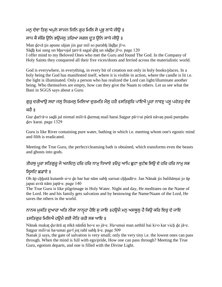## ਮਨ ਦੇਵਾ ਤਿਸ ਅਪਨੇ ਸਾਜਨ ਜਿਨਿ ਗਰ ਮਿਲਿ ਸੋ ਪ੍ਰਭ ਲਾਧੇ ਜੀੳ ॥

## ਸਾਧ ਕੈ ਸੰਗਿ ਉਨਿ ਭਉਜਲੂ ਤਰਿਆ ਸਗਲ ਦੂਤ ਉਨਿ ਸਾਧੇ ਜੀਉ ॥

Man devā tis apune sājan jin gur mil so parabh lādhe jī∘o. Sādh kai sang un bha∘ojal tari∘ā sagal dūt un sādhe jī∘o. page 120 I offer mind to my Beloved Ones who met the Guru and found The God. In the Company of Holy Saints they conquered all their five vices/doots and ferried across the materialistic world.

God is everywhere, in everything, in every bit of creation not only in holy books/places. In a holy being the God has manifested itself, where it is visible in action, where the candle is lit i.e. the light is illuminated. Only a person who has realized the Lord can light/illuminate another being. Who themselves are empty, how can they give the Naam to others. Let us see what the Bani in SGGS says about a Guru

# ਗਰ ਦਰੀਆੳ ਸਦਾ ਜਲ ਨਿਰਮਲ ਮਿਲਿਆ ਦਰਮਤਿ ਮੈਲ ਹਰੈ ॥ਸਤਿਗਰਿ ਪਾਇਐ ਪਰਾ ਨਾਵਣ ਪਸ ਪਰੇਤਹ ਦੇਵ

#### ਕਰੈ ॥

Gur ḏarī▫ā▫o saḏā jal nirmal mili▫ā ḏurmaṯ mail harai.Saṯgur pā▫i▫ai pūrā nāvaṇ pasū pareṯahu ḏev karai. page 1329

Guru is like River containing pure water, bathing in which i.e. meeting whom one's egostic mind and filth is eradicated.

Meeting the True Guru, the perfect/cleansing bath is obtained, which transforms even the beasts and ghosts into gods.

## ਤੀਰਥੁ ਪੂਰਾ ਸਤਿਗੁਰੂ ਜੋ ਅਨਦਿਨੁ ਹਰਿ ਹਰਿ ਨਾਮੁ ਧਿਆਏ ॥ਓਹੁ ਆਪਿ ਛੁਟਾ ਕੁਟੰਬ ਸਿਉ ਦੇ ਹਰਿ ਹਰਿ ਨਾਮੁ ਸਭ

## ਸਿਸਟਿ ਛਡਾਏ ॥

Oh āp cẖẖutā kutamb si▫o ḏe har har nām sabẖ sarisat cẖẖadā▫e. Jan Nānak ṯis balihārṇai jo āp japai avrā nām japā▫e. page 140

The True Guru is like pilgrimage in Holy Water. Night and day, He meditates on the Name of the Lord. He and his family gets salvation and by bestowing the Name/Naam of the Lord, He saves the others in the world.

# ਨਾਨਕ ਮੁਕਤਿ ਦੁਆਰਾ ਅਤਿ ਨੀਕਾ ਨਾਨ੍ਹਹਾ ਹੋਇ ਸੁ ਜਾਇ ॥ਹਉਮੈ ਮਨੁ ਅਸਥੂਲੁ ਹੈ ਕਿਉ ਕਰਿ ਵਿਚੁ ਦੇ ਜਾਇ

# ॥ਸਤਿਗੁਰ ਮਿਲਿਐ ਹਉਮੈ ਗਈ ਜੋਤਿ ਰਹੀ ਸਭ ਆਇ ॥

Nānak mukaṯ ḏu▫ārā aṯ nīkā nānĥā ho▫e so jā▫e. Ha▫umai man asthūl hai ki▫o kar vicẖ ḏe jā▫e. Satgur mili∘ai ha∘umai ga∘ī jot rahī sabh ā∘e. page 509

Nanak ji says, the gate of salvation is very small; only the very tiny i.e. the lowest ones can pass through. When the mind is full with ego/pride, How one can pass through? Meeting the True Guru, egotism departs, and one is filled with the Divine Light.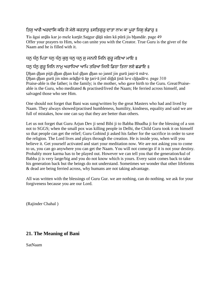# ਤਿਸ ਆਗੈ ਅਰਦਾਸਿ ਕਰਿ ਜੋ ਮੇਲੇ ਕਰਤਾਰ ॥ਸਤਿਗਰ ਦਾਤਾ ਨਾਮ ਕਾ ਪਰਾ ਜਿਸ ਭੰਡਾਰ ॥

Ŧis āgai arḏās kar jo mele karṯār.Saṯgur ḏāṯā nām kā pūrā jis bẖandār. page 49 Offer your prayers to Him, who can unite you with the Creator. True Guru is the giver of the Naam and he is filled with it.

## ਧਨ ਧੰਨ ਪਿਤਾ ਧਨ ਧੰਨ ਕੁਲ ਧਨ ਧਨ ਸੁ ਜਨਨੀ ਜਿਨਿ ਗੁਰੂ ਜਣਿਆ ਮਾਇ ॥

## ਧਨੁ ਧੰਨੁ ਗੁਰੁ ਜਿਨਿ ਨਾਮੁ ਅਰਾਧਿਆ ਆਪਿ ਤਰਿਆ ਜਿਨੀ ਡਿਠਾ ਤਿਨਾ ਲਏ ਛਡਾਇ ॥

Ḏẖan ḏẖan piṯā ḏẖan ḏẖan kul ḏẖan ḏẖan so jannī jin gurū jaṇi▫ā mā▫e. Dhan dhan gurū jin nām arādhi∘ā āp tari∘ā jinī dithā tinā la∘e chhadā∘e. page 310 Praise-able is the father; is the family; is the mother, who gave birth to the Guru. Great/Praiseable is the Guru, who meditated & practised/lived the Naam; He ferried across himself, and salvaged those who see Him.

One should not forget that Bani was sung/written by the great Masters who had and lived by Naam. They always showed/practised humbleness, humility, kindness, equality and said we are full of mistakes, how one can say that they are better than others.

Let us not forget that Guru Arjun Dev ji send Bibi ji to Babba Bhudha ji for the blessing of a son not to SGGS; when the small pox was killing people in Delhi, the Child Guru took it on himself so that people can get the relief; Guru Gobind ji asked his father for the sacrifice in order to save the religion. The Lord lives and plays through the creation. He is inside you, when will you believe it. Get yourself activated and start your meditation now. We are not asking you to come to us, you can go anywhere you can get the Naam. You will not come/go if it is not your destiny. Probably more karma has to be played out. However we can tell you that the generation/kul of Babba ji is very large/big and you do not know which is yours. Every saint comes back to take his generation back but the beings do not understand. Sometimes we wonder that other lifeforms & dead are being ferried across, why humans are not taking advantage.

All was written with the blessings of Guru Gur. we are nothing, can do nothing. we ask for your forgiveness because you are our Lord.

(Rajinder Chahal )

## **21. The Meaning of Bani**

SatNaam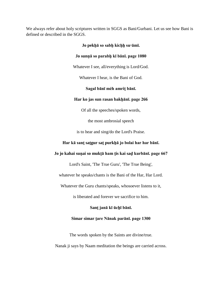We always refer about holy scriptures written in SGGS as Bani/Gurbani. Let us see how Bani is defined or described in the SGGS.

# **Jo pekẖā so sabẖ kicẖẖ su▫āmī. Jo sunṇā so parabẖ kī bānī. page 1080** Whatever I see, all/everything is Lord/God. Whatever I hear, is the Bani of God. **Sagal bānī mėh amriṯ bānī. Har ko jas sun rasan bakẖānī. page 266** Of all the speeches/spoken words, the most ambrosial speech is to hear and sing/do the Lord's Praise.

# **Har kā sanṯ saṯgur saṯ purkẖā jo bolai har har bānī.**

#### **Jo jo kahai suṇai so mukṯā ham ṯis kai saḏ kurbānī. page 667**

Lord's Saint, 'The True Guru', 'The True Being',

whatever he speaks/chants is the Bani of the Har, Har Lord.

Whatever the Guru chants/speaks, whosoever listens to it,

is liberated and forever we sacrifice to him.

**Sanṯ janā kī ūcẖī bānī.**

#### **Simar simar ṯare Nānak parānī. page 1300**

The words spoken by the Saints are divine/true.

Nanak ji says by Naam meditation the beings are carried across.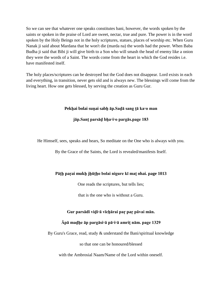So we can see that whatever one speaks constitutes bani, however, the words spoken by the saints or spoken in the praise of Lord are sweet, nectar, true and pure. The power is in the word spoken by the Holy Beings not in the holy scriptures, statues, places of worship etc. When Guru Nanak ji said about Mardana that he won't die (marda na) the words had the power. When Baba Budha ji said that Bibi ji will give birth to a Son who will smash the head of enemy like a onion they were the words of a Saint. The words come from the heart in which the God resides i.e. have manifested itself.

The holy places/scriptures can be destroyed but the God does not disappear. Lord exists in each and everything, in transition, never gets old and is always new. The blessings will come from the living heart. How one gets blessed, by serving the creation as Guru Gur.

#### **Pekẖai bolai suṇai sabẖ āp.Saḏā sang ṯā ka▫o man**

#### **jāp.Sanṯ parsāḏ bẖa▫i▫o pargās.page 183**

He Himself, sees, speaks and hears, So meditate on the One who is always with you.

By the Grace of the Saints, the Lord is revealed/manifests Itself.

#### **Pāṯẖ paṛai mukẖ jẖūṯẖo bolai nigure kī maṯ ohai. page 1013**

One reads the scriptures, but tells lies;

that is the one who is without a Guru.

#### **Gur parsādī viḏi▫ā vīcẖārai paṛ paṛ pāvai mān.**

#### **Āpā maḏẖe āp pargāsi▫ā pā▫i▫ā amriṯ nām. page 1329**

By Guru's Grace, read, study & understand the Bani/spiritual knowledge

so that one can be honoured/blessed

with the Ambrosial Naam/Name of the Lord within oneself.